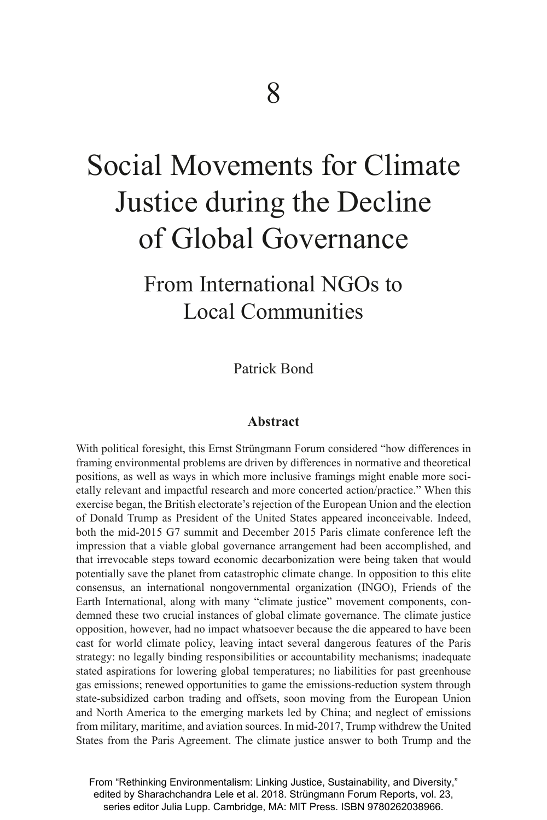# Social Movements for Climate Justice during the Decline of Global Governance

# From International NGOs to Local Communities

Patrick Bond

### **Abstract**

With political foresight, this Ernst Strüngmann Forum considered "how differences in framing environmental problems are driven by differences in normative and theoretical positions, as well as ways in which more inclusive framings might enable more societally relevant and impactful research and more concerted action/practice." When this exercise began, the British electorate's rejection of the European Union and the election of Donald Trump as President of the United States appeared inconceivable. Indeed, both the mid-2015 G7 summit and December 2015 Paris climate conference left the impression that a viable global governance arrangement had been accomplished, and that irrevocable steps toward economic decarbonization were being taken that would potentially save the planet from catastrophic climate change. In opposition to this elite consensus, an international nongovernmental organization (INGO), Friends of the Earth International, along with many "climate justice" movement components, condemned these two crucial instances of global climate governance. The climate justice opposition, however, had no impact whatsoever because the die appeared to have been cast for world climate policy, leaving intact several dangerous features of the Paris strategy: no legally binding responsibilities or accountability mechanisms; inadequate stated aspirations for lowering global temperatures; no liabilities for past greenhouse gas emissions; renewed opportunities to game the emissions-reduction system through state-subsidized carbon trading and offsets, soon moving from the European Union and North America to the emerging markets led by China; and neglect of emissions from military, maritime, and aviation sources. In mid-2017, Trump withdrew the United States from the Paris Agreement. The climate justice answer to both Trump and the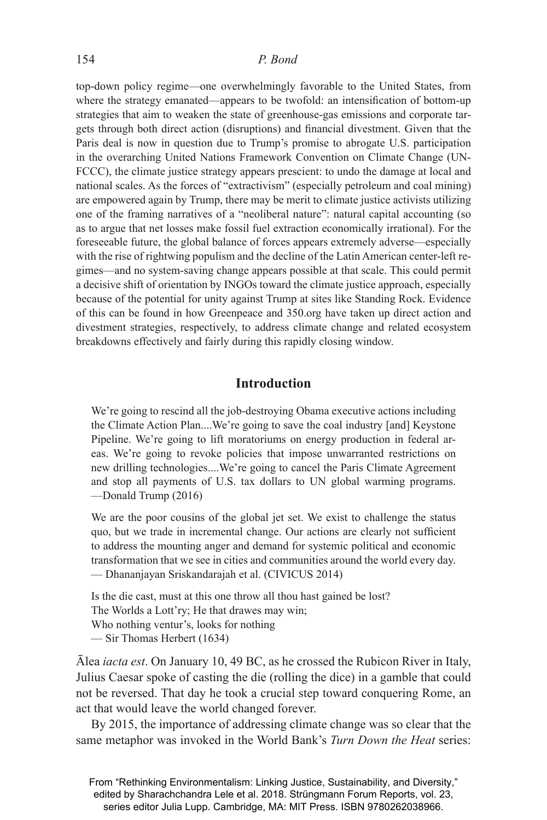top-down policy regime—one overwhelmingly favorable to the United States, from where the strategy emanated—appears to be twofold: an intensification of bottom-up strategies that aim to weaken the state of greenhouse-gas emissions and corporate targets through both direct action (disruptions) and financial divestment. Given that the Paris deal is now in question due to Trump's promise to abrogate U.S. participation in the overarching United Nations Framework Convention on Climate Change (UN-FCCC), the climate justice strategy appears prescient: to undo the damage at local and national scales. As the forces of "extractivism" (especially petroleum and coal mining) are empowered again by Trump, there may be merit to climate justice activists utilizing one of the framing narratives of a "neoliberal nature": natural capital accounting (so as to argue that net losses make fossil fuel extraction economically irrational). For the foreseeable future, the global balance of forces appears extremely adverse—especially with the rise of rightwing populism and the decline of the Latin American center-left regimes—and no system-saving change appears possible at that scale. This could permit a decisive shift of orientation by INGOs toward the climate justice approach, especially because of the potential for unity against Trump at sites like Standing Rock. Evidence of this can be found in how Greenpeace and 350.org have taken up direct action and divestment strategies, respectively, to address climate change and related ecosystem breakdowns effectively and fairly during this rapidly closing window.

# **Introduction**

We're going to rescind all the job-destroying Obama executive actions including the Climate Action Plan....We're going to save the coal industry [and] Keystone Pipeline. We're going to lift moratoriums on energy production in federal areas. We're going to revoke policies that impose unwarranted restrictions on new drilling technologies....We're going to cancel the Paris Climate Agreement and stop all payments of U.S. tax dollars to UN global warming programs. —Donald Trump (2016)

We are the poor cousins of the global jet set. We exist to challenge the status quo, but we trade in incremental change. Our actions are clearly not sufficient to address the mounting anger and demand for systemic political and economic transformation that we see in cities and communities around the world every day. — Dhananjayan Sriskandarajah et al. (CIVICUS 2014)

Is the die cast, must at this one throw all thou hast gained be lost? The Worlds a Lott'ry; He that drawes may win; Who nothing ventur's, looks for nothing — Sir Thomas Herbert (1634)

Ālea *iacta est*. On January 10, 49 BC, as he crossed the Rubicon River in Italy, Julius Caesar spoke of casting the die (rolling the dice) in a gamble that could not be reversed. That day he took a crucial step toward conquering Rome, an act that would leave the world changed forever.

By 2015, the importance of addressing climate change was so clear that the same metaphor was invoked in the World Bank's *Turn Down the Heat* series: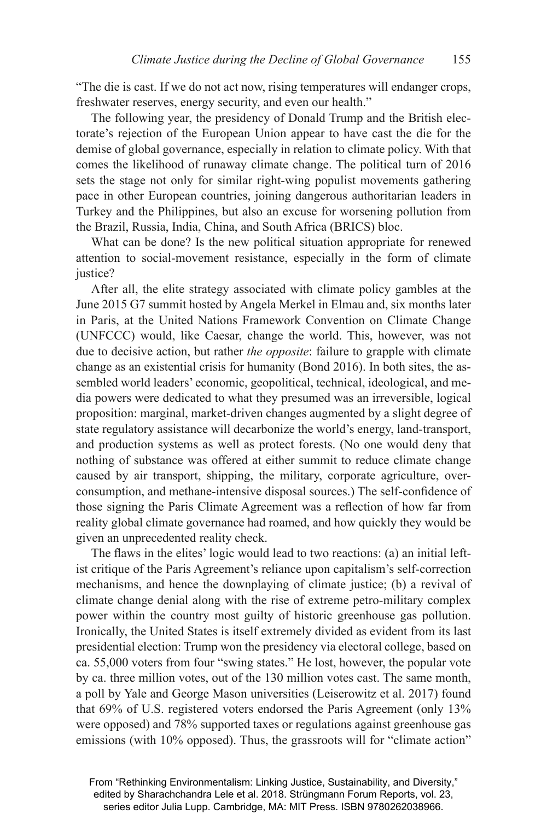"The die is cast. If we do not act now, rising temperatures will endanger crops, freshwater reserves, energy security, and even our health."

The following year, the presidency of Donald Trump and the British electorate's rejection of the European Union appear to have cast the die for the demise of global governance, especially in relation to climate policy. With that comes the likelihood of runaway climate change. The political turn of 2016 sets the stage not only for similar right-wing populist movements gathering pace in other European countries, joining dangerous authoritarian leaders in Turkey and the Philippines, but also an excuse for worsening pollution from the Brazil, Russia, India, China, and South Africa (BRICS) bloc.

What can be done? Is the new political situation appropriate for renewed attention to social-movement resistance, especially in the form of climate justice?

After all, the elite strategy associated with climate policy gambles at the June 2015 G7 summit hosted by Angela Merkel in Elmau and, six months later in Paris, at the United Nations Framework Convention on Climate Change (UNFCCC) would, like Caesar, change the world. This, however, was not due to decisive action, but rather *the opposite*: failure to grapple with climate change as an existential crisis for humanity (Bond 2016). In both sites, the assembled world leaders' economic, geopolitical, technical, ideological, and media powers were dedicated to what they presumed was an irreversible, logical proposition: marginal, market-driven changes augmented by a slight degree of state regulatory assistance will decarbonize the world's energy, land-transport, and production systems as well as protect forests. (No one would deny that nothing of substance was offered at either summit to reduce climate change caused by air transport, shipping, the military, corporate agriculture, overconsumption, and methane-intensive disposal sources.) The self-confidence of those signing the Paris Climate Agreement was a reflection of how far from reality global climate governance had roamed, and how quickly they would be given an unprecedented reality check.

The flaws in the elites' logic would lead to two reactions: (a) an initial leftist critique of the Paris Agreement's reliance upon capitalism's self-correction mechanisms, and hence the downplaying of climate justice; (b) a revival of climate change denial along with the rise of extreme petro-military complex power within the country most guilty of historic greenhouse gas pollution. Ironically, the United States is itself extremely divided as evident from its last presidential election: Trump won the presidency via electoral college, based on ca. 55,000 voters from four "swing states." He lost, however, the popular vote by ca. three million votes, out of the 130 million votes cast. The same month, a poll by Yale and George Mason universities (Leiserowitz et al. 2017) found that 69% of U.S. registered voters endorsed the Paris Agreement (only 13% were opposed) and 78% supported taxes or regulations against greenhouse gas emissions (with 10% opposed). Thus, the grassroots will for "climate action"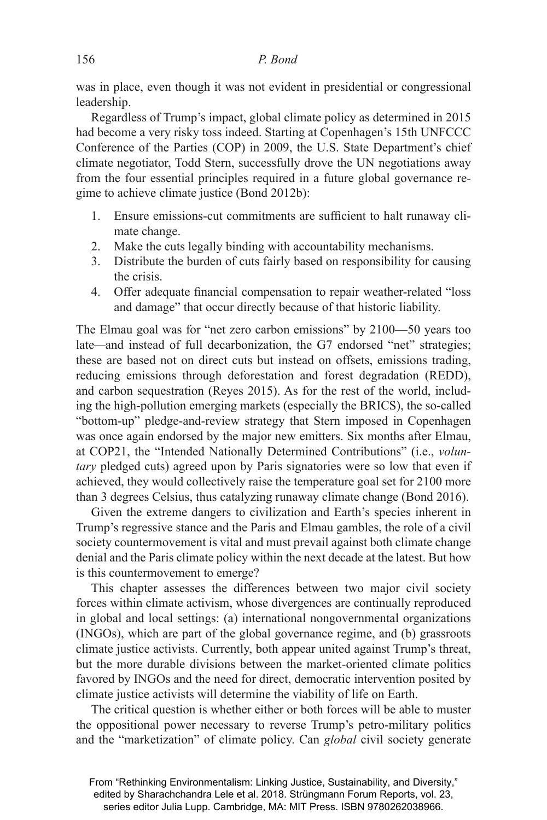was in place, even though it was not evident in presidential or congressional leadership.

Regardless of Trump's impact, global climate policy as determined in 2015 had become a very risky toss indeed. Starting at Copenhagen's 15th UNFCCC Conference of the Parties (COP) in 2009, the U.S. State Department's chief climate negotiator, Todd Stern, successfully drove the UN negotiations away from the four essential principles required in a future global governance regime to achieve climate justice (Bond 2012b):

- 1. Ensure emissions-cut commitments are sufficient to halt runaway climate change.
- 2. Make the cuts legally binding with accountability mechanisms.
- 3. Distribute the burden of cuts fairly based on responsibility for causing the crisis.
- 4. Offer adequate financial compensation to repair weather-related "loss" and damage" that occur directly because of that historic liability.

The Elmau goal was for "net zero carbon emissions" by 2100—50 years too late*—*and instead of full decarbonization, the G7 endorsed "net" strategies; these are based not on direct cuts but instead on offsets, emissions trading, reducing emissions through deforestation and forest degradation (REDD), and carbon sequestration (Reyes 2015). As for the rest of the world, including the high-pollution emerging markets (especially the BRICS), the so-called "bottom-up" pledge-and-review strategy that Stern imposed in Copenhagen was once again endorsed by the major new emitters. Six months after Elmau, at COP21, the "Intended Nationally Determined Contributions" (i.e., *voluntary* pledged cuts) agreed upon by Paris signatories were so low that even if achieved, they would collectively raise the temperature goal set for 2100 more than 3 degrees Celsius, thus catalyzing runaway climate change (Bond 2016).

Given the extreme dangers to civilization and Earth's species inherent in Trump's regressive stance and the Paris and Elmau gambles, the role of a civil society countermovement is vital and must prevail against both climate change denial and the Paris climate policy within the next decade at the latest. But how is this countermovement to emerge?

This chapter assesses the differences between two major civil society forces within climate activism, whose divergences are continually reproduced in global and local settings: (a) international nongovernmental organizations (INGOs), which are part of the global governance regime, and (b) grassroots climate justice activists. Currently, both appear united against Trump's threat, but the more durable divisions between the market-oriented climate politics favored by INGOs and the need for direct, democratic intervention posited by climate justice activists will determine the viability of life on Earth.

The critical question is whether either or both forces will be able to muster the oppositional power necessary to reverse Trump's petro-military politics and the "marketization" of climate policy. Can *global* civil society generate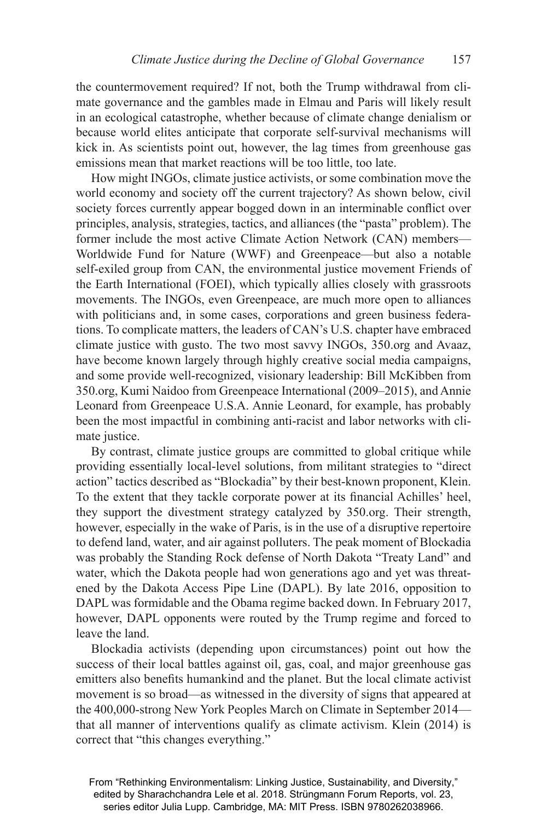the countermovement required? If not, both the Trump withdrawal from climate governance and the gambles made in Elmau and Paris will likely result in an ecological catastrophe, whether because of climate change denialism or because world elites anticipate that corporate self-survival mechanisms will kick in. As scientists point out, however, the lag times from greenhouse gas emissions mean that market reactions will be too little, too late.

How might INGOs, climate justice activists, or some combination move the world economy and society off the current trajectory? As shown below, civil society forces currently appear bogged down in an interminable conflict over principles, analysis, strategies, tactics, and alliances (the "pasta" problem). The former include the most active Climate Action Network (CAN) members— Worldwide Fund for Nature (WWF) and Greenpeace—but also a notable self-exiled group from CAN, the environmental justice movement Friends of the Earth International (FOEI), which typically allies closely with grassroots movements. The INGOs, even Greenpeace, are much more open to alliances with politicians and, in some cases, corporations and green business federations. To complicate matters, the leaders of CAN's U.S. chapter have embraced climate justice with gusto. The two most savvy INGOs, 350.org and Avaaz, have become known largely through highly creative social media campaigns, and some provide well-recognized, visionary leadership: Bill McKibben from 350.org, Kumi Naidoo from Greenpeace International (2009–2015), and Annie Leonard from Greenpeace U.S.A. Annie Leonard, for example, has probably been the most impactful in combining anti-racist and labor networks with climate justice.

By contrast, climate justice groups are committed to global critique while providing essentially local-level solutions, from militant strategies to "direct action" tactics described as "Blockadia" by their best-known proponent, Klein. To the extent that they tackle corporate power at its financial Achilles' heel, they support the divestment strategy catalyzed by 350.org. Their strength, however, especially in the wake of Paris, is in the use of a disruptive repertoire to defend land, water, and air against polluters. The peak moment of Blockadia was probably the Standing Rock defense of North Dakota "Treaty Land" and water, which the Dakota people had won generations ago and yet was threatened by the Dakota Access Pipe Line (DAPL). By late 2016, opposition to DAPL was formidable and the Obama regime backed down. In February 2017, however, DAPL opponents were routed by the Trump regime and forced to leave the land.

Blockadia activists (depending upon circumstances) point out how the success of their local battles against oil, gas, coal, and major greenhouse gas emitters also benefits humankind and the planet. But the local climate activist movement is so broad—as witnessed in the diversity of signs that appeared at the 400,000-strong New York Peoples March on Climate in September 2014 that all manner of interventions qualify as climate activism. Klein (2014) is correct that "this changes everything."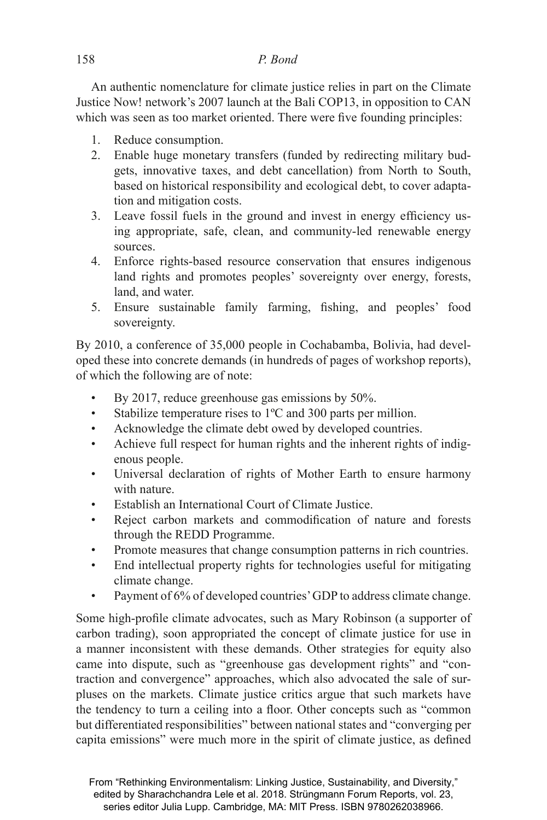# 158 *P. Bond*

An authentic nomenclature for climate justice relies in part on the Climate Justice Now! network's 2007 launch at the Bali COP13, in opposition to CAN which was seen as too market oriented. There were five founding principles:

- 1. Reduce consumption.
- 2. Enable huge monetary transfers (funded by redirecting military budgets, innovative taxes, and debt cancellation) from North to South, based on historical responsibility and ecological debt, to cover adaptation and mitigation costs.
- 3. Leave fossil fuels in the ground and invest in energy efficiency using appropriate, safe, clean, and community-led renewable energy sources.
- 4. Enforce rights-based resource conservation that ensures indigenous land rights and promotes peoples' sovereignty over energy, forests, land, and water.
- 5. Ensure sustainable family farming, fishing, and peoples' food sovereignty.

By 2010, a conference of 35,000 people in Cochabamba, Bolivia, had developed these into concrete demands (in hundreds of pages of workshop reports), of which the following are of note:

- By 2017, reduce greenhouse gas emissions by 50%.
- Stabilize temperature rises to 1<sup>o</sup>C and 300 parts per million.
- Acknowledge the climate debt owed by developed countries.
- Achieve full respect for human rights and the inherent rights of indigenous people.
- Universal declaration of rights of Mother Earth to ensure harmony with nature.
- Establish an International Court of Climate Justice.
- Reject carbon markets and commodification of nature and forests through the REDD Programme.
- Promote measures that change consumption patterns in rich countries.
- End intellectual property rights for technologies useful for mitigating climate change.
- Payment of 6% of developed countries' GDP to address climate change.

Some high-profile climate advocates, such as Mary Robinson (a supporter of carbon trading), soon appropriated the concept of climate justice for use in a manner inconsistent with these demands. Other strategies for equity also came into dispute, such as "greenhouse gas development rights" and "contraction and convergence" approaches, which also advocated the sale of surpluses on the markets. Climate justice critics argue that such markets have the tendency to turn a ceiling into a floor. Other concepts such as "common but differentiated responsibilities" between national states and "converging per capita emissions" were much more in the spirit of climate justice, as defined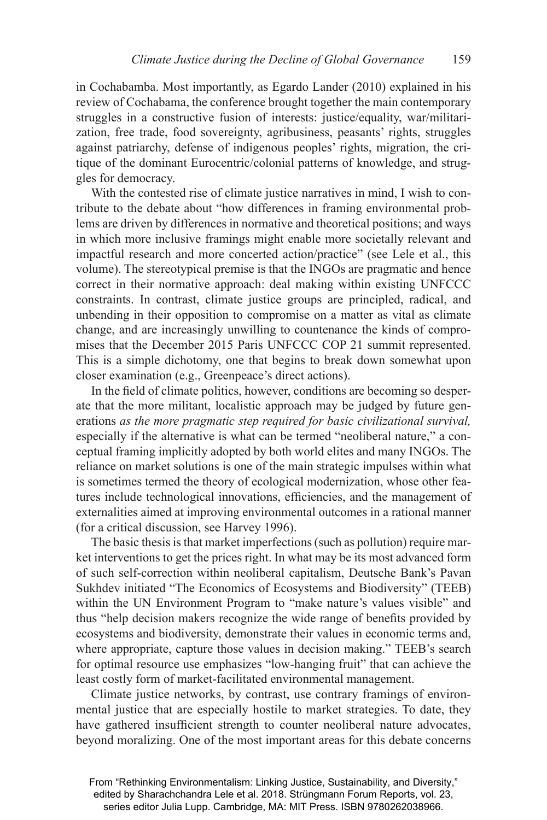in Cochabamba. Most importantly, as Egardo Lander (2010) explained in his review of Cochabama, the conference brought together the main contemporary struggles in a constructive fusion of interests: justice/equality, war/militarization, free trade, food sovereignty, agribusiness, peasants' rights, struggles against patriarchy, defense of indigenous peoples' rights, migration, the critique of the dominant Eurocentric/colonial patterns of knowledge, and struggles for democracy.

With the contested rise of climate justice narratives in mind, I wish to contribute to the debate about "how differences in framing environmental problems are driven by differences in normative and theoretical positions; and ways in which more inclusive framings might enable more societally relevant and impactful research and more concerted action/practice" (see Lele et al., this volume). The stereotypical premise is that the INGOs are pragmatic and hence correct in their normative approach: deal making within existing UNFCCC constraints. In contrast, climate justice groups are principled, radical, and unbending in their opposition to compromise on a matter as vital as climate change, and are increasingly unwilling to countenance the kinds of compromises that the December 2015 Paris UNFCCC COP 21 summit represented. This is a simple dichotomy, one that begins to break down somewhat upon closer examination (e.g., Greenpeace's direct actions).

In the field of climate politics, however, conditions are becoming so desperate that the more militant, localistic approach may be judged by future generations *as the more pragmatic step required for basic civilizational survival,*  especially if the alternative is what can be termed "neoliberal nature," a conceptual framing implicitly adopted by both world elites and many INGOs. The reliance on market solutions is one of the main strategic impulses within what is sometimes termed the theory of ecological modernization, whose other features include technological innovations, efficiencies, and the management of externalities aimed at improving environmental outcomes in a rational manner (for a critical discussion, see Harvey 1996).

The basic thesis is that market imperfections (such as pollution) require market interventions to get the prices right. In what may be its most advanced form of such self-correction within neoliberal capitalism, Deutsche Bank's Pavan Sukhdev initiated "The Economics of Ecosystems and Biodiversity" (TEEB) within the UN Environment Program to "make nature's values visible" and thus "help decision makers recognize the wide range of benefits provided by ecosystems and biodiversity, demonstrate their values in economic terms and, where appropriate, capture those values in decision making." TEEB's search for optimal resource use emphasizes "low-hanging fruit" that can achieve the least costly form of market-facilitated environmental management.

Climate justice networks, by contrast, use contrary framings of environmental justice that are especially hostile to market strategies. To date, they have gathered insufficient strength to counter neoliberal nature advocates, beyond moralizing. One of the most important areas for this debate concerns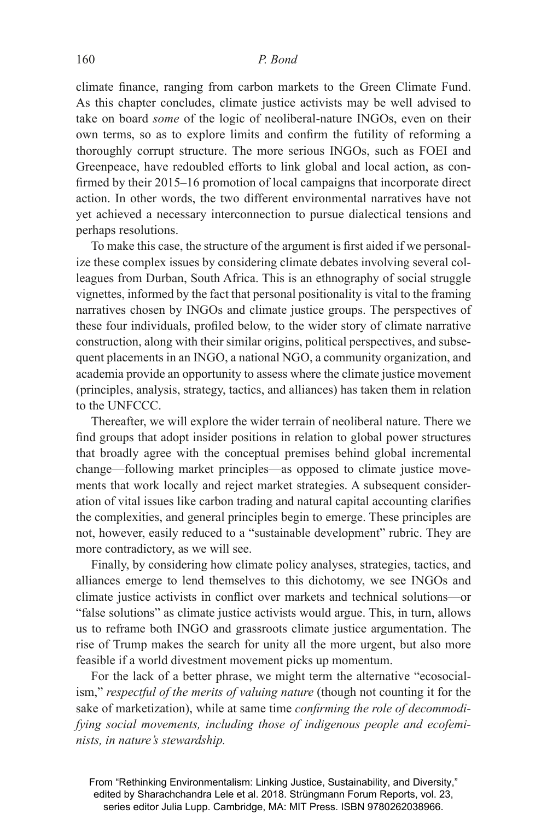climate finance, ranging from carbon markets to the Green Climate Fund. As this chapter concludes, climate justice activists may be well advised to take on board *some* of the logic of neoliberal-nature INGOs, even on their own terms, so as to explore limits and confirm the futility of reforming a thoroughly corrupt structure. The more serious INGOs, such as FOEI and Greenpeace, have redoubled efforts to link global and local action, as confirmed by their 2015–16 promotion of local campaigns that incorporate direct action. In other words, the two different environmental narratives have not yet achieved a necessary interconnection to pursue dialectical tensions and perhaps resolutions.

To make this case, the structure of the argument is first aided if we personalize these complex issues by considering climate debates involving several colleagues from Durban, South Africa. This is an ethnography of social struggle vignettes, informed by the fact that personal positionality is vital to the framing narratives chosen by INGOs and climate justice groups. The perspectives of these four individuals, profiled below, to the wider story of climate narrative construction, along with their similar origins, political perspectives, and subsequent placements in an INGO, a national NGO, a community organization, and academia provide an opportunity to assess where the climate justice movement (principles, analysis, strategy, tactics, and alliances) has taken them in relation to the UNFCCC.

Thereafter, we will explore the wider terrain of neoliberal nature. There we find groups that adopt insider positions in relation to global power structures that broadly agree with the conceptual premises behind global incremental change—following market principles—as opposed to climate justice movements that work locally and reject market strategies. A subsequent consideration of vital issues like carbon trading and natural capital accounting clarifies the complexities, and general principles begin to emerge. These principles are not, however, easily reduced to a "sustainable development" rubric. They are more contradictory, as we will see.

Finally, by considering how climate policy analyses, strategies, tactics, and alliances emerge to lend themselves to this dichotomy, we see INGOs and climate justice activists in conflict over markets and technical solutions—or "false solutions" as climate justice activists would argue. This, in turn, allows us to reframe both INGO and grassroots climate justice argumentation. The rise of Trump makes the search for unity all the more urgent, but also more feasible if a world divestment movement picks up momentum.

For the lack of a better phrase, we might term the alternative "ecosocialism," *respectful of the merits of valuing nature* (though not counting it for the sake of marketization), while at same time *confirming the role of decommodifying social movements, including those of indigenous people and ecofeminists, in nature's stewardship.*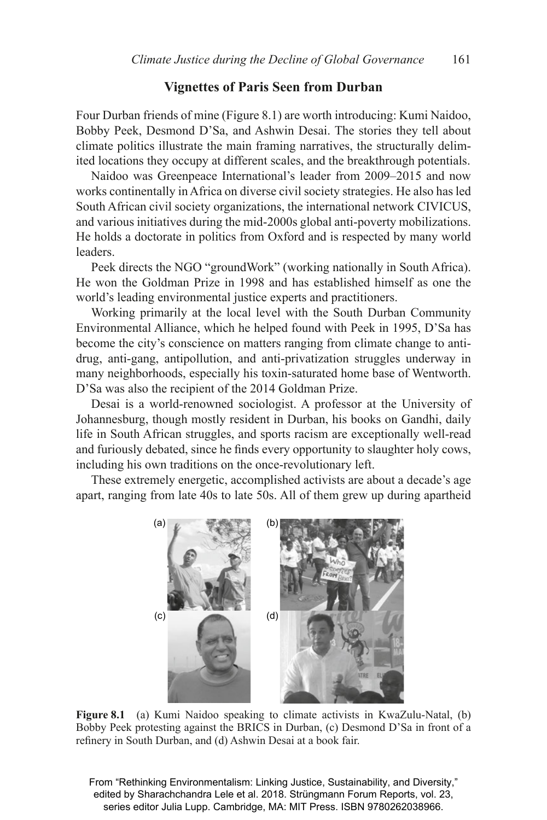#### **Vignettes of Paris Seen from Durban**

Four Durban friends of mine (Figure 8.1) are worth introducing: Kumi Naidoo, Bobby Peek, Desmond D'Sa, and Ashwin Desai. The stories they tell about climate politics illustrate the main framing narratives, the structurally delimited locations they occupy at different scales, and the breakthrough potentials.

Naidoo was Greenpeace International's leader from 2009–2015 and now works continentally in Africa on diverse civil society strategies. He also has led South African civil society organizations, the international network CIVICUS, and various initiatives during the mid-2000s global anti-poverty mobilizations. He holds a doctorate in politics from Oxford and is respected by many world **leaders** 

Peek directs the NGO "groundWork" (working nationally in South Africa). He won the Goldman Prize in 1998 and has established himself as one the world's leading environmental justice experts and practitioners.

Working primarily at the local level with the South Durban Community Environmental Alliance, which he helped found with Peek in 1995, D'Sa has become the city's conscience on matters ranging from climate change to antidrug, anti-gang, antipollution, and anti-privatization struggles underway in many neighborhoods, especially his toxin-saturated home base of Wentworth. D'Sa was also the recipient of the 2014 Goldman Prize.

Desai is a world-renowned sociologist. A professor at the University of Johannesburg, though mostly resident in Durban, his books on Gandhi, daily life in South African struggles, and sports racism are exceptionally well-read and furiously debated, since he finds every opportunity to slaughter holy cows, including his own traditions on the once-revolutionary left.

These extremely energetic, accomplished activists are about a decade's age apart, ranging from late 40s to late 50s. All of them grew up during apartheid



**Figure 8.1** (a) Kumi Naidoo speaking to climate activists in KwaZulu-Natal, (b) Bobby Peek protesting against the BRICS in Durban, (c) Desmond D'Sa in front of a refinery in South Durban, and (d) Ashwin Desai at a book fair.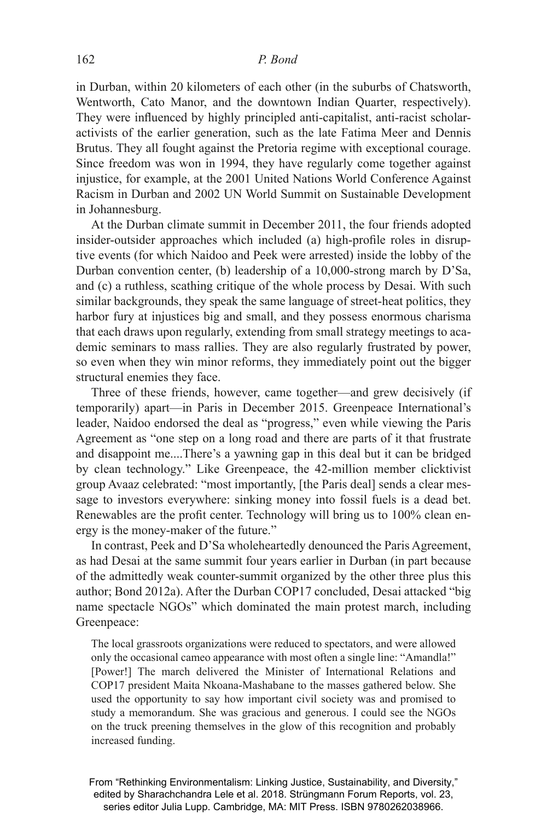in Durban, within 20 kilometers of each other (in the suburbs of Chatsworth, Wentworth, Cato Manor, and the downtown Indian Quarter, respectively). They were influenced by highly principled anti-capitalist, anti-racist scholaractivists of the earlier generation, such as the late Fatima Meer and Dennis Brutus. They all fought against the Pretoria regime with exceptional courage. Since freedom was won in 1994, they have regularly come together against injustice, for example, at the 2001 United Nations World Conference Against Racism in Durban and 2002 UN World Summit on Sustainable Development in Johannesburg.

At the Durban climate summit in December 2011, the four friends adopted insider-outsider approaches which included (a) high-profile roles in disruptive events (for which Naidoo and Peek were arrested) inside the lobby of the Durban convention center, (b) leadership of a 10,000-strong march by D'Sa, and (c) a ruthless, scathing critique of the whole process by Desai. With such similar backgrounds, they speak the same language of street-heat politics, they harbor fury at injustices big and small, and they possess enormous charisma that each draws upon regularly, extending from small strategy meetings to academic seminars to mass rallies. They are also regularly frustrated by power, so even when they win minor reforms, they immediately point out the bigger structural enemies they face.

Three of these friends, however, came together—and grew decisively (if temporarily) apart—in Paris in December 2015. Greenpeace International's leader, Naidoo endorsed the deal as "progress," even while viewing the Paris Agreement as "one step on a long road and there are parts of it that frustrate and disappoint me....There's a yawning gap in this deal but it can be bridged by clean technology." Like Greenpeace, the 42-million member clicktivist group Avaaz celebrated: "most importantly, [the Paris deal] sends a clear message to investors everywhere: sinking money into fossil fuels is a dead bet. Renewables are the profit center. Technology will bring us to 100% clean energy is the money-maker of the future."

In contrast, Peek and D'Sa wholeheartedly denounced the Paris Agreement, as had Desai at the same summit four years earlier in Durban (in part because of the admittedly weak counter-summit organized by the other three plus this author; Bond 2012a). After the Durban COP17 concluded, Desai attacked "big name spectacle NGOs" which dominated the main protest march, including Greenpeace:

The local grassroots organizations were reduced to spectators, and were allowed only the occasional cameo appearance with most often a single line: "Amandla!" [Power!] The march delivered the Minister of International Relations and COP17 president Maita Nkoana-Mashabane to the masses gathered below. She used the opportunity to say how important civil society was and promised to study a memorandum. She was gracious and generous. I could see the NGOs on the truck preening themselves in the glow of this recognition and probably increased funding.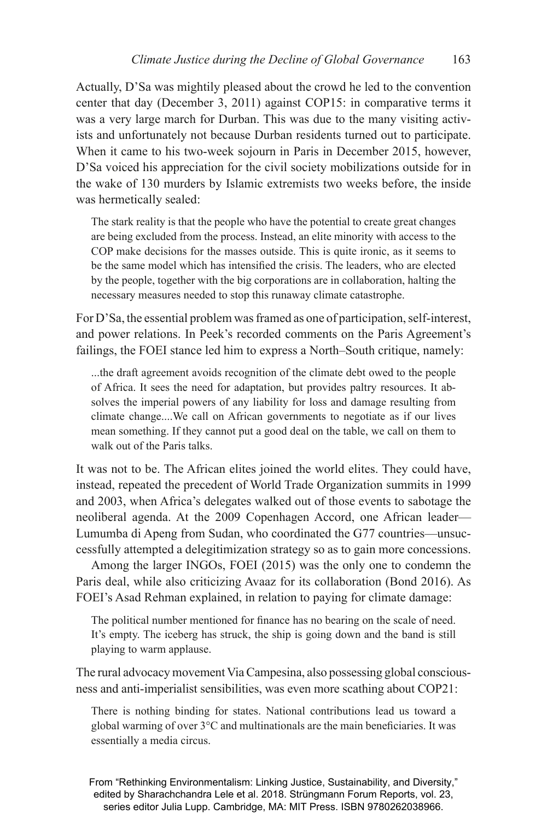Actually, D'Sa was mightily pleased about the crowd he led to the convention center that day (December 3, 2011) against COP15: in comparative terms it was a very large march for Durban. This was due to the many visiting activists and unfortunately not because Durban residents turned out to participate. When it came to his two-week sojourn in Paris in December 2015, however, D'Sa voiced his appreciation for the civil society mobilizations outside for in the wake of 130 murders by Islamic extremists two weeks before, the inside was hermetically sealed:

The stark reality is that the people who have the potential to create great changes are being excluded from the process. Instead, an elite minority with access to the COP make decisions for the masses outside. This is quite ironic, as it seems to be the same model which has intensified the crisis. The leaders, who are elected by the people, together with the big corporations are in collaboration, halting the necessary measures needed to stop this runaway climate catastrophe.

For D'Sa, the essential problem was framed as one of participation, self-interest, and power relations. In Peek's recorded comments on the Paris Agreement's failings, the FOEI stance led him to express a North–South critique, namely:

...the draft agreement avoids recognition of the climate debt owed to the people of Africa. It sees the need for adaptation, but provides paltry resources. It absolves the imperial powers of any liability for loss and damage resulting from climate change....We call on African governments to negotiate as if our lives mean something. If they cannot put a good deal on the table, we call on them to walk out of the Paris talks.

It was not to be. The African elites joined the world elites. They could have, instead, repeated the precedent of World Trade Organization summits in 1999 and 2003, when Africa's delegates walked out of those events to sabotage the neoliberal agenda. At the 2009 Copenhagen Accord, one African leader— Lumumba di Apeng from Sudan, who coordinated the G77 countries—unsuccessfully attempted a delegitimization strategy so as to gain more concessions.

Among the larger INGOs, FOEI (2015) was the only one to condemn the Paris deal, while also criticizing Avaaz for its collaboration (Bond 2016). As FOEI's Asad Rehman explained, in relation to paying for climate damage:

The political number mentioned for finance has no bearing on the scale of need. It's empty. The iceberg has struck, the ship is going down and the band is still playing to warm applause.

The rural advocacy movement Via Campesina, also possessing global consciousness and anti-imperialist sensibilities, was even more scathing about COP21:

There is nothing binding for states. National contributions lead us toward a global warming of over  $3^{\circ}$ C and multinationals are the main beneficiaries. It was essentially a media circus.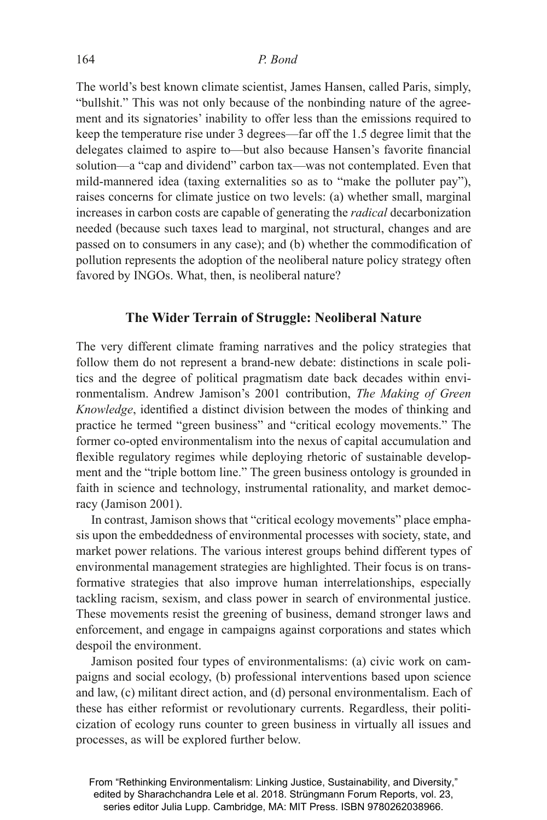The world's best known climate scientist, James Hansen, called Paris, simply, "bullshit." This was not only because of the nonbinding nature of the agreement and its signatories' inability to offer less than the emissions required to keep the temperature rise under 3 degrees—far off the 1.5 degree limit that the delegates claimed to aspire to—but also because Hansen's favorite financial solution—a "cap and dividend" carbon tax—was not contemplated. Even that mild-mannered idea (taxing externalities so as to "make the polluter pay"), raises concerns for climate justice on two levels: (a) whether small, marginal increases in carbon costs are capable of generating the *radical* decarbonization needed (because such taxes lead to marginal, not structural, changes and are passed on to consumers in any case); and (b) whether the commodification of pollution represents the adoption of the neoliberal nature policy strategy often favored by INGOs. What, then, is neoliberal nature?

# **The Wider Terrain of Struggle: Neoliberal Nature**

The very different climate framing narratives and the policy strategies that follow them do not represent a brand-new debate: distinctions in scale politics and the degree of political pragmatism date back decades within environmentalism. Andrew Jamison's 2001 contribution, *The Making of Green Knowledge*, identified a distinct division between the modes of thinking and practice he termed "green business" and "critical ecology movements." The former co-opted environmentalism into the nexus of capital accumulation and flexible regulatory regimes while deploying rhetoric of sustainable development and the "triple bottom line." The green business ontology is grounded in faith in science and technology, instrumental rationality, and market democracy (Jamison 2001).

In contrast, Jamison shows that "critical ecology movements" place emphasis upon the embeddedness of environmental processes with society, state, and market power relations. The various interest groups behind different types of environmental management strategies are highlighted. Their focus is on transformative strategies that also improve human interrelationships, especially tackling racism, sexism, and class power in search of environmental justice. These movements resist the greening of business, demand stronger laws and enforcement, and engage in campaigns against corporations and states which despoil the environment.

Jamison posited four types of environmentalisms: (a) civic work on campaigns and social ecology, (b) professional interventions based upon science and law, (c) militant direct action, and (d) personal environmentalism. Each of these has either reformist or revolutionary currents. Regardless, their politicization of ecology runs counter to green business in virtually all issues and processes, as will be explored further below.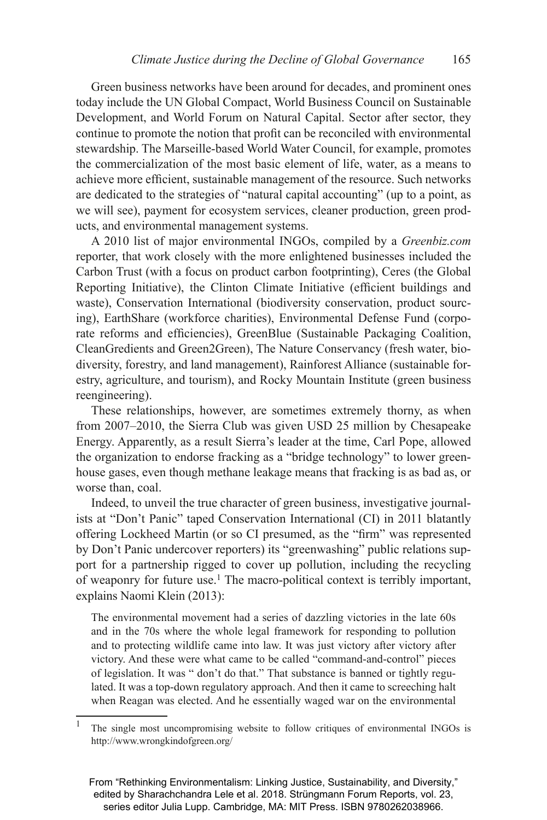Green business networks have been around for decades, and prominent ones today include the UN Global Compact, World Business Council on Sustainable Development, and World Forum on Natural Capital. Sector after sector, they continue to promote the notion that profit can be reconciled with environmental stewardship. The Marseille-based World Water Council, for example, promotes the commercialization of the most basic element of life, water, as a means to achieve more efficient, sustainable management of the resource. Such networks are dedicated to the strategies of "natural capital accounting" (up to a point, as we will see), payment for ecosystem services, cleaner production, green products, and environmental management systems.

A 2010 list of major environmental INGOs, compiled by a *Greenbiz.com*  reporter, that work closely with the more enlightened businesses included the Carbon Trust (with a focus on product carbon footprinting), Ceres (the Global Reporting Initiative), the Clinton Climate Initiative (efficient buildings and waste), Conservation International (biodiversity conservation, product sourcing), EarthShare (workforce charities), Environmental Defense Fund (corporate reforms and efficiencies), GreenBlue (Sustainable Packaging Coalition, CleanGredients and Green2Green), The Nature Conservancy (fresh water, biodiversity, forestry, and land management), Rainforest Alliance (sustainable forestry, agriculture, and tourism), and Rocky Mountain Institute (green business reengineering).

These relationships, however, are sometimes extremely thorny, as when from 2007–2010, the Sierra Club was given USD 25 million by Chesapeake Energy. Apparently, as a result Sierra's leader at the time, Carl Pope, allowed the organization to endorse fracking as a "bridge technology" to lower greenhouse gases, even though methane leakage means that fracking is as bad as, or worse than, coal.

Indeed, to unveil the true character of green business, investigative journalists at "Don't Panic" taped Conservation International (CI) in 2011 blatantly offering Lockheed Martin (or so CI presumed, as the "firm" was represented by Don't Panic undercover reporters) its "greenwashing" public relations support for a partnership rigged to cover up pollution, including the recycling of weaponry for future use.1 The macro-political context is terribly important, explains Naomi Klein (2013):

The environmental movement had a series of dazzling victories in the late 60s and in the 70s where the whole legal framework for responding to pollution and to protecting wildlife came into law. It was just victory after victory after victory. And these were what came to be called "command-and-control" pieces of legislation. It was " don't do that." That substance is banned or tightly regulated. It was a top-down regulatory approach. And then it came to screeching halt when Reagan was elected. And he essentially waged war on the environmental

<sup>&</sup>lt;sup>1</sup> The single most uncompromising website to follow critiques of environmental INGOs is http://www.wrongkindofgreen.org/

From "Rethinking Environmentalism: Linking Justice, Sustainability, and Diversity," edited by Sharachchandra Lele et al. 2018. Strüngmann Forum Reports, vol. 23, series editor Julia Lupp. Cambridge, MA: MIT Press. ISBN 9780262038966.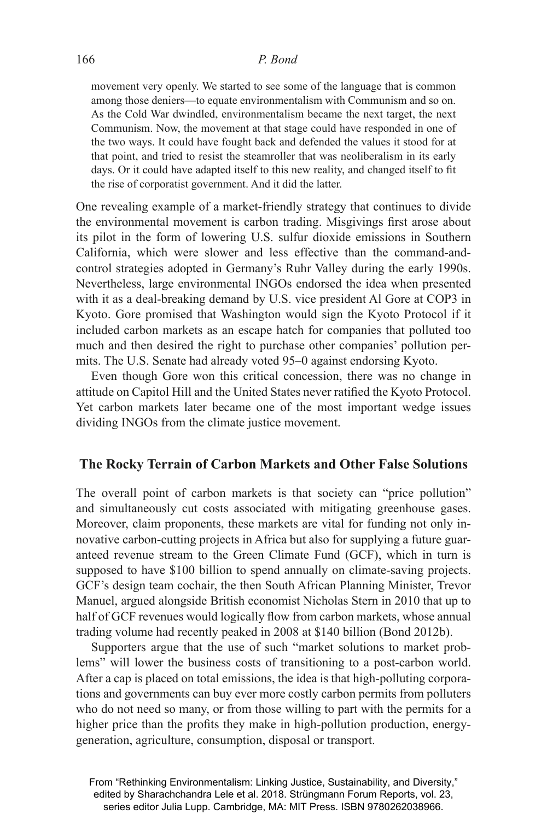#### 166 *P. Bond*

movement very openly. We started to see some of the language that is common among those deniers—to equate environmentalism with Communism and so on. As the Cold War dwindled, environmentalism became the next target, the next Communism. Now, the movement at that stage could have responded in one of the two ways. It could have fought back and defended the values it stood for at that point, and tried to resist the steamroller that was neoliberalism in its early days. Or it could have adapted itself to this new reality, and changed itself to fit the rise of corporatist government. And it did the latter.

One revealing example of a market-friendly strategy that continues to divide the environmental movement is carbon trading. Misgivings first arose about its pilot in the form of lowering U.S. sulfur dioxide emissions in Southern California, which were slower and less effective than the command-andcontrol strategies adopted in Germany's Ruhr Valley during the early 1990s. Nevertheless, large environmental INGOs endorsed the idea when presented with it as a deal-breaking demand by U.S. vice president Al Gore at COP3 in Kyoto. Gore promised that Washington would sign the Kyoto Protocol if it included carbon markets as an escape hatch for companies that polluted too much and then desired the right to purchase other companies' pollution permits. The U.S. Senate had already voted 95–0 against endorsing Kyoto.

Even though Gore won this critical concession, there was no change in attitude on Capitol Hill and the United States never ratified the Kyoto Protocol. Yet carbon markets later became one of the most important wedge issues dividing INGOs from the climate justice movement.

## **The Rocky Terrain of Carbon Markets and Other False Solutions**

The overall point of carbon markets is that society can "price pollution" and simultaneously cut costs associated with mitigating greenhouse gases. Moreover, claim proponents, these markets are vital for funding not only innovative carbon-cutting projects in Africa but also for supplying a future guaranteed revenue stream to the Green Climate Fund (GCF), which in turn is supposed to have \$100 billion to spend annually on climate-saving projects. GCF's design team cochair, the then South African Planning Minister, Trevor Manuel, argued alongside British economist Nicholas Stern in 2010 that up to half of GCF revenues would logically flow from carbon markets, whose annual trading volume had recently peaked in 2008 at \$140 billion (Bond 2012b).

Supporters argue that the use of such "market solutions to market problems" will lower the business costs of transitioning to a post-carbon world. After a cap is placed on total emissions, the idea is that high-polluting corporations and governments can buy ever more costly carbon permits from polluters who do not need so many, or from those willing to part with the permits for a higher price than the profits they make in high-pollution production, energygeneration, agriculture, consumption, disposal or transport.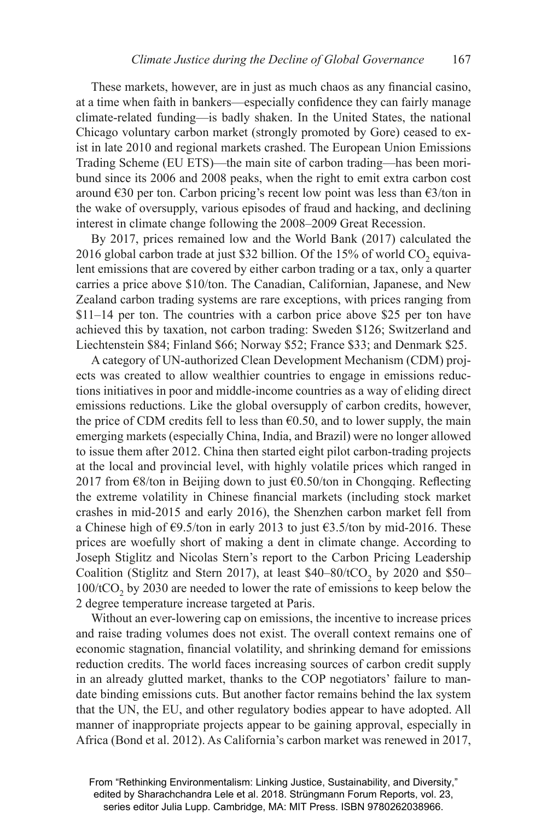These markets, however, are in just as much chaos as any financial casino, at a time when faith in bankers—especially confidence they can fairly manage climate-related funding—is badly shaken. In the United States, the national Chicago voluntary carbon market (strongly promoted by Gore) ceased to exist in late 2010 and regional markets crashed. The European Union Emissions Trading Scheme (EU ETS)—the main site of carbon trading—has been moribund since its 2006 and 2008 peaks, when the right to emit extra carbon cost around  $\epsilon$ 30 per ton. Carbon pricing's recent low point was less than  $\epsilon$ 3/ton in the wake of oversupply, various episodes of fraud and hacking, and declining interest in climate change following the 2008–2009 Great Recession.

By 2017, prices remained low and the World Bank (2017) calculated the 2016 global carbon trade at just \$32 billion. Of the  $15\%$  of world CO<sub>2</sub> equivalent emissions that are covered by either carbon trading or a tax, only a quarter carries a price above \$10/ton. The Canadian, Californian, Japanese, and New Zealand carbon trading systems are rare exceptions, with prices ranging from \$11–14 per ton. The countries with a carbon price above \$25 per ton have achieved this by taxation, not carbon trading: Sweden \$126; Switzerland and Liechtenstein \$84; Finland \$66; Norway \$52; France \$33; and Denmark \$25.

A category of UN-authorized Clean Development Mechanism (CDM) projects was created to allow wealthier countries to engage in emissions reductions initiatives in poor and middle-income countries as a way of eliding direct emissions reductions. Like the global oversupply of carbon credits, however, the price of CDM credits fell to less than  $\epsilon$ 0.50, and to lower supply, the main emerging markets (especially China, India, and Brazil) were no longer allowed to issue them after 2012. China then started eight pilot carbon-trading projects at the local and provincial level, with highly volatile prices which ranged in 2017 from  $\epsilon$ 8/ton in Beijing down to just  $\epsilon$ 0.50/ton in Chongqing. Reflecting the extreme volatility in Chinese financial markets (including stock market crashes in mid-2015 and early 2016), the Shenzhen carbon market fell from a Chinese high of €9.5/ton in early 2013 to just €3.5/ton by mid-2016. These prices are woefully short of making a dent in climate change. According to Joseph Stiglitz and Nicolas Stern's report to the Carbon Pricing Leadership Coalition (Stiglitz and Stern 2017), at least  $$40-80/tCO$ , by 2020 and  $$50 100/tCO<sub>2</sub>$  by 2030 are needed to lower the rate of emissions to keep below the 2 degree temperature increase targeted at Paris.

Without an ever-lowering cap on emissions, the incentive to increase prices and raise trading volumes does not exist. The overall context remains one of economic stagnation, financial volatility, and shrinking demand for emissions reduction credits. The world faces increasing sources of carbon credit supply in an already glutted market, thanks to the COP negotiators' failure to mandate binding emissions cuts. But another factor remains behind the lax system that the UN, the EU, and other regulatory bodies appear to have adopted. All manner of inappropriate projects appear to be gaining approval, especially in Africa (Bond et al. 2012). As California's carbon market was renewed in 2017,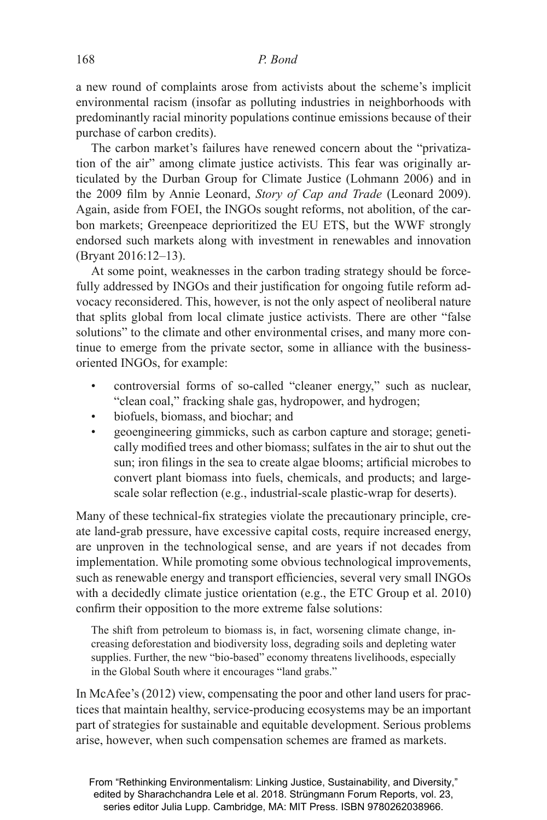a new round of complaints arose from activists about the scheme's implicit environmental racism (insofar as polluting industries in neighborhoods with predominantly racial minority populations continue emissions because of their purchase of carbon credits).

The carbon market's failures have renewed concern about the "privatization of the air" among climate justice activists. This fear was originally articulated by the Durban Group for Climate Justice (Lohmann 2006) and in the 2009 film by Annie Leonard, *Story of Cap and Trade* (Leonard 2009). Again, aside from FOEI, the INGOs sought reforms, not abolition, of the carbon markets; Greenpeace deprioritized the EU ETS, but the WWF strongly endorsed such markets along with investment in renewables and innovation (Bryant 2016:12–13).

At some point, weaknesses in the carbon trading strategy should be forcefully addressed by INGOs and their justification for ongoing futile reform advocacy reconsidered. This, however, is not the only aspect of neoliberal nature that splits global from local climate justice activists. There are other "false solutions" to the climate and other environmental crises, and many more continue to emerge from the private sector, some in alliance with the businessoriented INGOs, for example:

- controversial forms of so-called "cleaner energy," such as nuclear, "clean coal," fracking shale gas, hydropower, and hydrogen;
- biofuels, biomass, and biochar; and
- geoengineering gimmicks, such as carbon capture and storage; genetically modified trees and other biomass; sulfates in the air to shut out the sun; iron filings in the sea to create algae blooms; artificial microbes to convert plant biomass into fuels, chemicals, and products; and largescale solar reflection (e.g., industrial-scale plastic-wrap for deserts).

Many of these technical-fix strategies violate the precautionary principle, create land-grab pressure, have excessive capital costs, require increased energy, are unproven in the technological sense, and are years if not decades from implementation. While promoting some obvious technological improvements, such as renewable energy and transport efficiencies, several very small INGOs with a decidedly climate justice orientation (e.g., the ETC Group et al. 2010) confirm their opposition to the more extreme false solutions:

The shift from petroleum to biomass is, in fact, worsening climate change, increasing deforestation and biodiversity loss, degrading soils and depleting water supplies. Further, the new "bio-based" economy threatens livelihoods, especially in the Global South where it encourages "land grabs."

In McAfee's (2012) view, compensating the poor and other land users for practices that maintain healthy, service-producing ecosystems may be an important part of strategies for sustainable and equitable development. Serious problems arise, however, when such compensation schemes are framed as markets.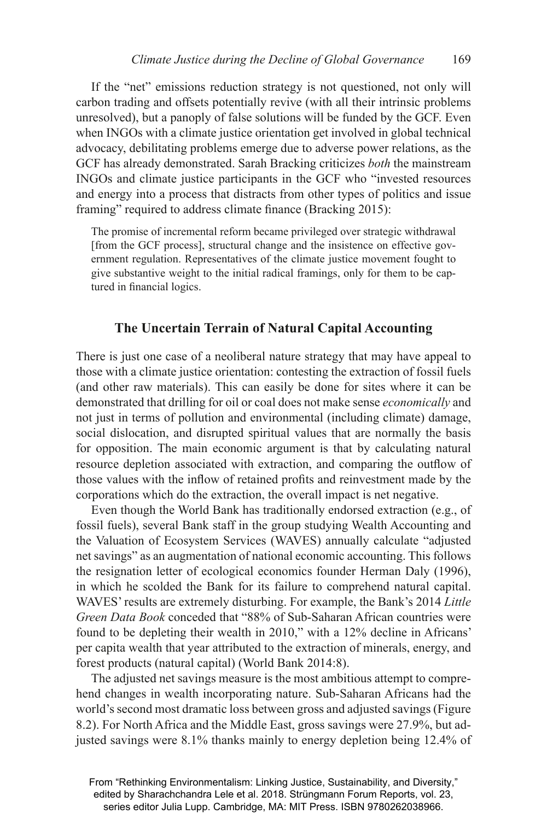If the "net" emissions reduction strategy is not questioned, not only will carbon trading and offsets potentially revive (with all their intrinsic problems unresolved), but a panoply of false solutions will be funded by the GCF. Even when INGOs with a climate justice orientation get involved in global technical advocacy, debilitating problems emerge due to adverse power relations, as the GCF has already demonstrated. Sarah Bracking criticizes *both* the mainstream INGOs and climate justice participants in the GCF who "invested resources and energy into a process that distracts from other types of politics and issue framing" required to address climate finance (Bracking 2015):

The promise of incremental reform became privileged over strategic withdrawal [from the GCF process], structural change and the insistence on effective government regulation. Representatives of the climate justice movement fought to give substantive weight to the initial radical framings, only for them to be captured in financial logics.

#### **The Uncertain Terrain of Natural Capital Accounting**

There is just one case of a neoliberal nature strategy that may have appeal to those with a climate justice orientation: contesting the extraction of fossil fuels (and other raw materials). This can easily be done for sites where it can be demonstrated that drilling for oil or coal does not make sense *economically* and not just in terms of pollution and environmental (including climate) damage, social dislocation, and disrupted spiritual values that are normally the basis for opposition. The main economic argument is that by calculating natural resource depletion associated with extraction, and comparing the outflow of those values with the inflow of retained profits and reinvestment made by the corporations which do the extraction, the overall impact is net negative.

Even though the World Bank has traditionally endorsed extraction (e.g., of fossil fuels), several Bank staff in the group studying Wealth Accounting and the Valuation of Ecosystem Services (WAVES) annually calculate "adjusted net savings" as an augmentation of national economic accounting. This follows the resignation letter of ecological economics founder Herman Daly (1996), in which he scolded the Bank for its failure to comprehend natural capital. WAVES' results are extremely disturbing. For example, the Bank's 2014 *Little Green Data Book* conceded that "88% of Sub-Saharan African countries were found to be depleting their wealth in 2010," with a 12% decline in Africans' per capita wealth that year attributed to the extraction of minerals, energy, and forest products (natural capital) (World Bank 2014:8).

The adjusted net savings measure is the most ambitious attempt to comprehend changes in wealth incorporating nature. Sub-Saharan Africans had the world's second most dramatic loss between gross and adjusted savings (Figure 8.2). For North Africa and the Middle East, gross savings were 27.9%, but adjusted savings were 8.1% thanks mainly to energy depletion being 12.4% of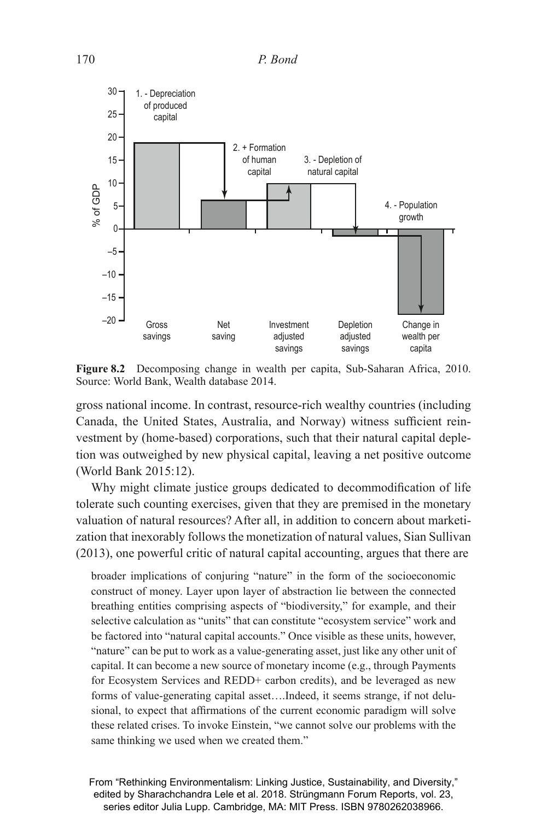

**Figure 8.2** Decomposing change in wealth per capita, Sub-Saharan Africa, 2010. Source: World Bank, Wealth database 2014.

gross national income. In contrast, resource-rich wealthy countries (including Canada, the United States, Australia, and Norway) witness sufficient reinvestment by (home-based) corporations, such that their natural capital depletion was outweighed by new physical capital, leaving a net positive outcome (World Bank 2015:12).

Why might climate justice groups dedicated to decommodification of life tolerate such counting exercises, given that they are premised in the monetary valuation of natural resources? After all, in addition to concern about marketization that inexorably follows the monetization of natural values, Sian Sullivan (2013), one powerful critic of natural capital accounting, argues that there are

broader implications of conjuring "nature" in the form of the socioeconomic construct of money. Layer upon layer of abstraction lie between the connected breathing entities comprising aspects of "biodiversity," for example, and their selective calculation as "units" that can constitute "ecosystem service" work and be factored into "natural capital accounts." Once visible as these units, however, "nature" can be put to work as a value-generating asset, just like any other unit of capital. It can become a new source of monetary income (e.g., through Payments for Ecosystem Services and REDD+ carbon credits), and be leveraged as new forms of value-generating capital asset….Indeed, it seems strange, if not delusional, to expect that affirmations of the current economic paradigm will solve these related crises. To invoke Einstein, "we cannot solve our problems with the same thinking we used when we created them."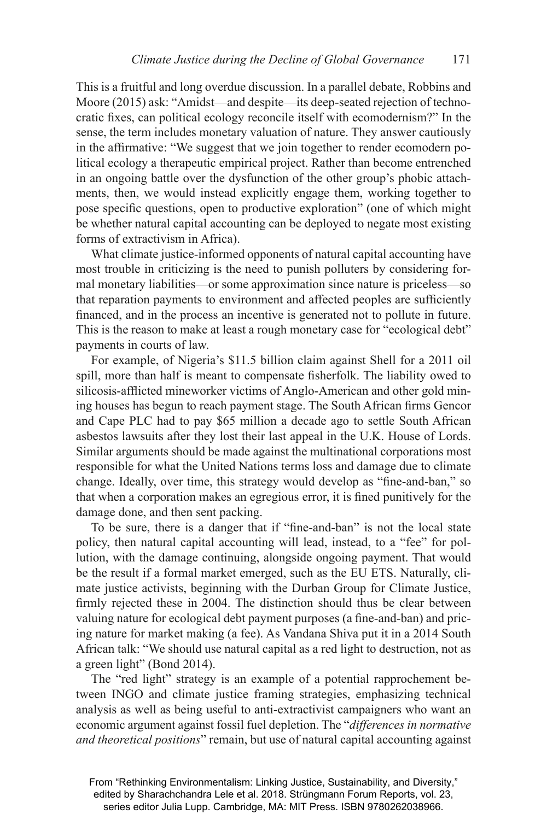This is a fruitful and long overdue discussion. In a parallel debate, Robbins and Moore (2015) ask: "Amidst—and despite—its deep-seated rejection of technocratic fixes, can political ecology reconcile itself with ecomodernism?" In the sense, the term includes monetary valuation of nature. They answer cautiously in the affirmative: "We suggest that we join together to render ecomodern political ecology a therapeutic empirical project. Rather than become entrenched in an ongoing battle over the dysfunction of the other group's phobic attachments, then, we would instead explicitly engage them, working together to pose specific questions, open to productive exploration" (one of which might be whether natural capital accounting can be deployed to negate most existing forms of extractivism in Africa).

What climate justice-informed opponents of natural capital accounting have most trouble in criticizing is the need to punish polluters by considering formal monetary liabilities—or some approximation since nature is priceless—so that reparation payments to environment and affected peoples are sufficiently financed, and in the process an incentive is generated not to pollute in future. This is the reason to make at least a rough monetary case for "ecological debt" payments in courts of law.

For example, of Nigeria's \$11.5 billion claim against Shell for a 2011 oil spill, more than half is meant to compensate fisherfolk. The liability owed to silicosis-afflicted mineworker victims of Anglo-American and other gold mining houses has begun to reach payment stage. The South African firms Gencor and Cape PLC had to pay \$65 million a decade ago to settle South African asbestos lawsuits after they lost their last appeal in the U.K. House of Lords. Similar arguments should be made against the multinational corporations most responsible for what the United Nations terms loss and damage due to climate change. Ideally, over time, this strategy would develop as "fine-and-ban," so that when a corporation makes an egregious error, it is fined punitively for the damage done, and then sent packing.

To be sure, there is a danger that if "fine-and-ban" is not the local state policy, then natural capital accounting will lead, instead, to a "fee" for pollution, with the damage continuing, alongside ongoing payment. That would be the result if a formal market emerged, such as the EU ETS. Naturally, climate justice activists, beginning with the Durban Group for Climate Justice, firmly rejected these in 2004. The distinction should thus be clear between valuing nature for ecological debt payment purposes (a fine-and-ban) and pricing nature for market making (a fee). As Vandana Shiva put it in a 2014 South African talk: "We should use natural capital as a red light to destruction, not as a green light" (Bond 2014).

The "red light" strategy is an example of a potential rapprochement between INGO and climate justice framing strategies, emphasizing technical analysis as well as being useful to anti-extractivist campaigners who want an economic argument against fossil fuel depletion. The "*differences in normative and theoretical positions*" remain, but use of natural capital accounting against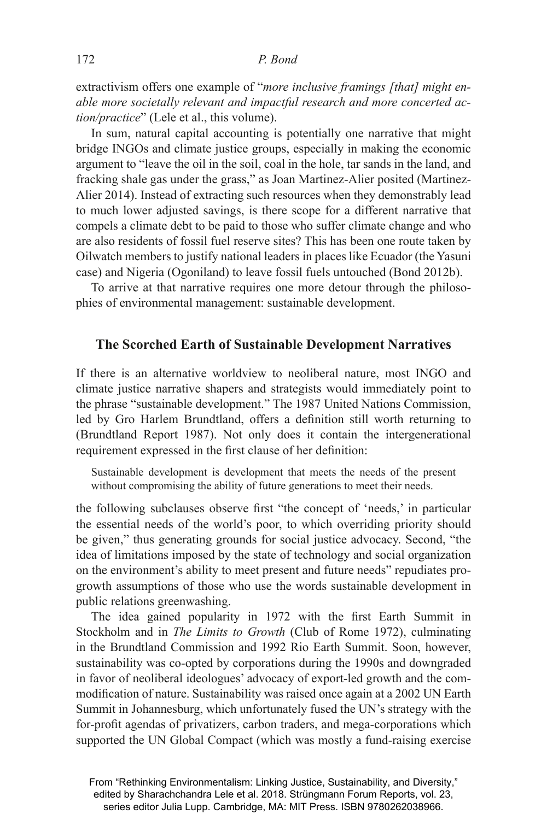extractivism offers one example of "*more inclusive framings [that] might enable more societally relevant and impactful research and more concerted action/practice*" (Lele et al., this volume).

In sum, natural capital accounting is potentially one narrative that might bridge INGOs and climate justice groups, especially in making the economic argument to "leave the oil in the soil, coal in the hole, tar sands in the land, and fracking shale gas under the grass," as Joan Martinez-Alier posited (Martinez-Alier 2014). Instead of extracting such resources when they demonstrably lead to much lower adjusted savings, is there scope for a different narrative that compels a climate debt to be paid to those who suffer climate change and who are also residents of fossil fuel reserve sites? This has been one route taken by Oilwatch members to justify national leaders in places like Ecuador (the Yasuni case) and Nigeria (Ogoniland) to leave fossil fuels untouched (Bond 2012b).

To arrive at that narrative requires one more detour through the philosophies of environmental management: sustainable development.

#### **The Scorched Earth of Sustainable Development Narratives**

If there is an alternative worldview to neoliberal nature, most INGO and climate justice narrative shapers and strategists would immediately point to the phrase "sustainable development." The 1987 United Nations Commission, led by Gro Harlem Brundtland, offers a definition still worth returning to (Brundtland Report 1987). Not only does it contain the intergenerational requirement expressed in the first clause of her definition:

Sustainable development is development that meets the needs of the present without compromising the ability of future generations to meet their needs.

the following subclauses observe first "the concept of 'needs,' in particular the essential needs of the world's poor, to which overriding priority should be given," thus generating grounds for social justice advocacy. Second, "the idea of limitations imposed by the state of technology and social organization on the environment's ability to meet present and future needs" repudiates progrowth assumptions of those who use the words sustainable development in public relations greenwashing.

The idea gained popularity in 1972 with the first Earth Summit in Stockholm and in *The Limits to Growth* (Club of Rome 1972), culminating in the Brundtland Commission and 1992 Rio Earth Summit. Soon, however, sustainability was co-opted by corporations during the 1990s and downgraded in favor of neoliberal ideologues' advocacy of export-led growth and the commodification of nature. Sustainability was raised once again at a 2002 UN Earth Summit in Johannesburg, which unfortunately fused the UN's strategy with the for-profit agendas of privatizers, carbon traders, and mega-corporations which supported the UN Global Compact (which was mostly a fund-raising exercise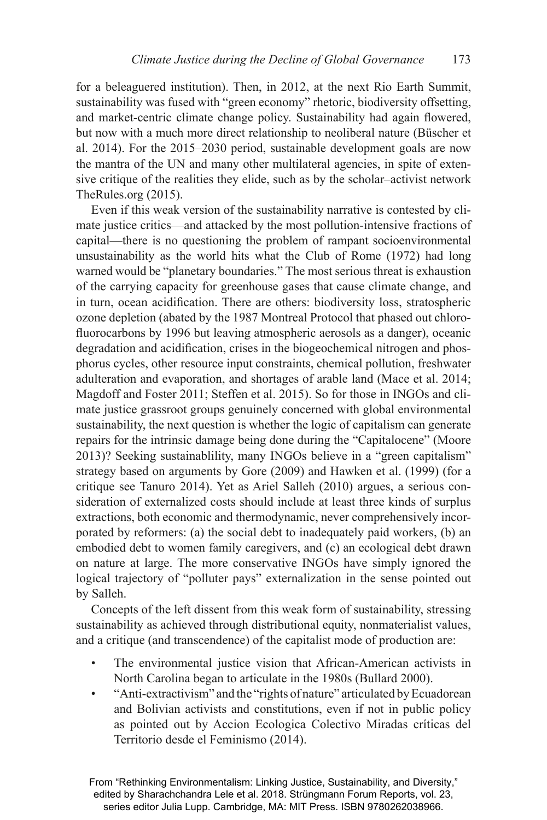for a beleaguered institution). Then, in 2012, at the next Rio Earth Summit, sustainability was fused with "green economy" rhetoric, biodiversity offsetting, and market-centric climate change policy. Sustainability had again flowered, but now with a much more direct relationship to neoliberal nature (Büscher et al. 2014). For the 2015–2030 period, sustainable development goals are now the mantra of the UN and many other multilateral agencies, in spite of extensive critique of the realities they elide, such as by the scholar–activist network TheRules.org (2015).

Even if this weak version of the sustainability narrative is contested by climate justice critics—and attacked by the most pollution-intensive fractions of capital—there is no questioning the problem of rampant socioenvironmental unsustainability as the world hits what the Club of Rome (1972) had long warned would be "planetary boundaries." The most serious threat is exhaustion of the carrying capacity for greenhouse gases that cause climate change, and in turn, ocean acidification. There are others: biodiversity loss, stratospheric ozone depletion (abated by the 1987 Montreal Protocol that phased out chlorofluorocarbons by 1996 but leaving atmospheric aerosols as a danger), oceanic degradation and acidification, crises in the biogeochemical nitrogen and phosphorus cycles, other resource input constraints, chemical pollution, freshwater adulteration and evaporation, and shortages of arable land (Mace et al. 2014; Magdoff and Foster 2011; Steffen et al. 2015). So for those in INGOs and climate justice grassroot groups genuinely concerned with global environmental sustainability, the next question is whether the logic of capitalism can generate repairs for the intrinsic damage being done during the "Capitalocene" (Moore 2013)? Seeking sustainablility, many INGOs believe in a "green capitalism" strategy based on arguments by Gore (2009) and Hawken et al. (1999) (for a critique see Tanuro 2014). Yet as Ariel Salleh (2010) argues, a serious consideration of externalized costs should include at least three kinds of surplus extractions, both economic and thermodynamic, never comprehensively incorporated by reformers: (a) the social debt to inadequately paid workers, (b) an embodied debt to women family caregivers, and (c) an ecological debt drawn on nature at large. The more conservative INGOs have simply ignored the logical trajectory of "polluter pays" externalization in the sense pointed out by Salleh.

Concepts of the left dissent from this weak form of sustainability, stressing sustainability as achieved through distributional equity, nonmaterialist values, and a critique (and transcendence) of the capitalist mode of production are:

- The environmental justice vision that African-American activists in North Carolina began to articulate in the 1980s (Bullard 2000).
- "Anti-extractivism" and the "rights of nature" articulated by Ecuadorean and Bolivian activists and constitutions, even if not in public policy as pointed out by Accion Ecologica Colectivo Miradas críticas del Territorio desde el Feminismo (2014).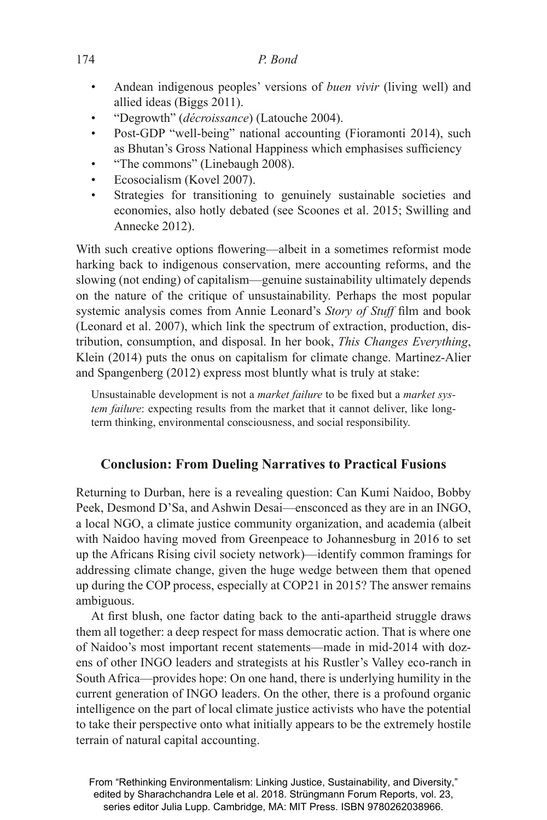- Andean indigenous peoples' versions of *buen vivir* (living well) and allied ideas (Biggs 2011).
- "Degrowth" (*décroissance*) (Latouche 2004).
- Post-GDP "well-being" national accounting (Fioramonti 2014), such as Bhutan's Gross National Happiness which emphasises sufficiency
- "The commons" (Linebaugh 2008).
- Ecosocialism (Kovel 2007).
- Strategies for transitioning to genuinely sustainable societies and economies, also hotly debated (see Scoones et al. 2015; Swilling and Annecke 2012).

With such creative options flowering—albeit in a sometimes reformist mode harking back to indigenous conservation, mere accounting reforms, and the slowing (not ending) of capitalism—genuine sustainability ultimately depends on the nature of the critique of unsustainability. Perhaps the most popular systemic analysis comes from Annie Leonard's *Story of Stuff* film and book (Leonard et al. 2007), which link the spectrum of extraction, production, distribution, consumption, and disposal. In her book, *This Changes Everything*, Klein (2014) puts the onus on capitalism for climate change. Martinez-Alier and Spangenberg (2012) express most bluntly what is truly at stake:

Unsustainable development is not a *market failure* to be fixed but a *market system failure*: expecting results from the market that it cannot deliver, like longterm thinking, environmental consciousness, and social responsibility.

# **Conclusion: From Dueling Narratives to Practical Fusions**

Returning to Durban, here is a revealing question: Can Kumi Naidoo, Bobby Peek, Desmond D'Sa, and Ashwin Desai—ensconced as they are in an INGO, a local NGO, a climate justice community organization, and academia (albeit with Naidoo having moved from Greenpeace to Johannesburg in 2016 to set up the Africans Rising civil society network)—identify common framings for addressing climate change, given the huge wedge between them that opened up during the COP process, especially at COP21 in 2015? The answer remains ambiguous.

At first blush, one factor dating back to the anti-apartheid struggle draws them all together: a deep respect for mass democratic action. That is where one of Naidoo's most important recent statements—made in mid-2014 with dozens of other INGO leaders and strategists at his Rustler's Valley eco-ranch in South Africa—provides hope: On one hand, there is underlying humility in the current generation of INGO leaders. On the other, there is a profound organic intelligence on the part of local climate justice activists who have the potential to take their perspective onto what initially appears to be the extremely hostile terrain of natural capital accounting.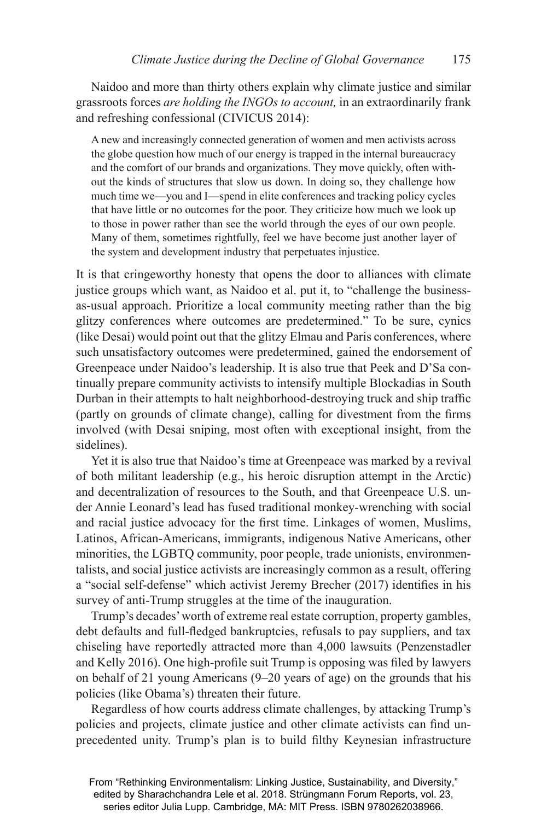Naidoo and more than thirty others explain why climate justice and similar grassroots forces *are holding the INGOs to account,* in an extraordinarily frank and refreshing confessional (CIVICUS 2014):

A new and increasingly connected generation of women and men activists across the globe question how much of our energy is trapped in the internal bureaucracy and the comfort of our brands and organizations. They move quickly, often without the kinds of structures that slow us down. In doing so, they challenge how much time we—you and I—spend in elite conferences and tracking policy cycles that have little or no outcomes for the poor. They criticize how much we look up to those in power rather than see the world through the eyes of our own people. Many of them, sometimes rightfully, feel we have become just another layer of the system and development industry that perpetuates injustice.

It is that cringeworthy honesty that opens the door to alliances with climate justice groups which want, as Naidoo et al. put it, to "challenge the businessas-usual approach. Prioritize a local community meeting rather than the big glitzy conferences where outcomes are predetermined." To be sure, cynics (like Desai) would point out that the glitzy Elmau and Paris conferences, where such unsatisfactory outcomes were predetermined, gained the endorsement of Greenpeace under Naidoo's leadership. It is also true that Peek and D'Sa continually prepare community activists to intensify multiple Blockadias in South Durban in their attempts to halt neighborhood-destroying truck and ship traffic (partly on grounds of climate change), calling for divestment from the firms involved (with Desai sniping, most often with exceptional insight, from the sidelines).

Yet it is also true that Naidoo's time at Greenpeace was marked by a revival of both militant leadership (e.g., his heroic disruption attempt in the Arctic) and decentralization of resources to the South, and that Greenpeace U.S. under Annie Leonard's lead has fused traditional monkey-wrenching with social and racial justice advocacy for the first time. Linkages of women, Muslims, Latinos, African-Americans, immigrants, indigenous Native Americans, other minorities, the LGBTQ community, poor people, trade unionists, environmentalists, and social justice activists are increasingly common as a result, offering a "social self-defense" which activist Jeremy Brecher (2017) identifies in his survey of anti-Trump struggles at the time of the inauguration.

Trump's decades' worth of extreme real estate corruption, property gambles, debt defaults and full-fledged bankruptcies, refusals to pay suppliers, and tax chiseling have reportedly attracted more than 4,000 lawsuits (Penzenstadler and Kelly 2016). One high-profile suit Trump is opposing was filed by lawyers on behalf of 21 young Americans (9–20 years of age) on the grounds that his policies (like Obama's) threaten their future.

Regardless of how courts address climate challenges, by attacking Trump's policies and projects, climate justice and other climate activists can find unprecedented unity. Trump's plan is to build filthy Keynesian infrastructure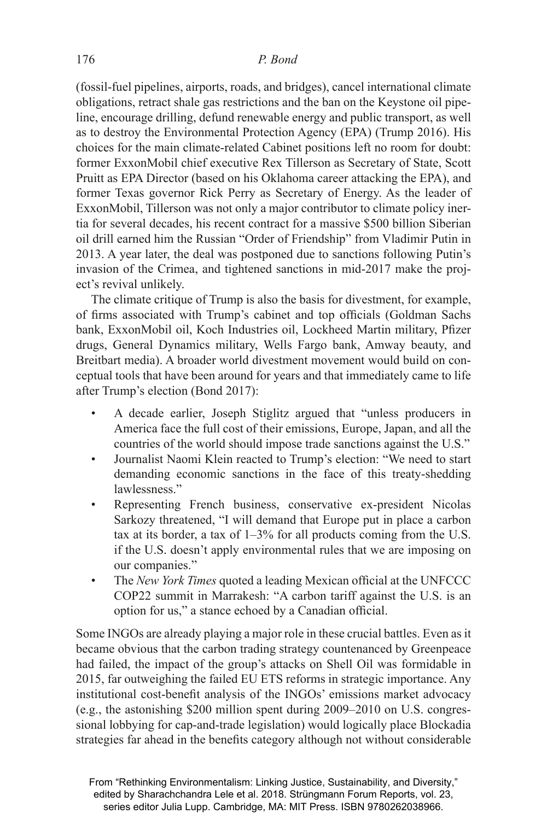(fossil-fuel pipelines, airports, roads, and bridges), cancel international climate obligations, retract shale gas restrictions and the ban on the Keystone oil pipeline, encourage drilling, defund renewable energy and public transport, as well as to destroy the Environmental Protection Agency (EPA) (Trump 2016). His choices for the main climate-related Cabinet positions left no room for doubt: former ExxonMobil chief executive Rex Tillerson as Secretary of State, Scott Pruitt as EPA Director (based on his Oklahoma career attacking the EPA), and former Texas governor Rick Perry as Secretary of Energy. As the leader of ExxonMobil, Tillerson was not only a major contributor to climate policy inertia for several decades, his recent contract for a massive \$500 billion Siberian oil drill earned him the Russian "Order of Friendship" from Vladimir Putin in 2013. A year later, the deal was postponed due to sanctions following Putin's invasion of the Crimea, and tightened sanctions in mid-2017 make the project's revival unlikely.

The climate critique of Trump is also the basis for divestment, for example, of firms associated with Trump's cabinet and top officials (Goldman Sachs bank, ExxonMobil oil, Koch Industries oil, Lockheed Martin military, Pfizer drugs, General Dynamics military, Wells Fargo bank, Amway beauty, and Breitbart media). A broader world divestment movement would build on conceptual tools that have been around for years and that immediately came to life after Trump's election (Bond 2017):

- A decade earlier, Joseph Stiglitz argued that "unless producers in America face the full cost of their emissions, Europe, Japan, and all the countries of the world should impose trade sanctions against the U.S."
- Journalist Naomi Klein reacted to Trump's election: "We need to start demanding economic sanctions in the face of this treaty-shedding lawlessness."
- Representing French business, conservative ex-president Nicolas Sarkozy threatened, "I will demand that Europe put in place a carbon tax at its border, a tax of 1–3% for all products coming from the U.S. if the U.S. doesn't apply environmental rules that we are imposing on our companies."
- The *New York Times* quoted a leading Mexican official at the UNFCCC COP22 summit in Marrakesh: "A carbon tariff against the U.S. is an option for us," a stance echoed by a Canadian official.

Some INGOs are already playing a major role in these crucial battles. Even as it became obvious that the carbon trading strategy countenanced by Greenpeace had failed, the impact of the group's attacks on Shell Oil was formidable in 2015, far outweighing the failed EU ETS reforms in strategic importance. Any institutional cost-benefit analysis of the INGOs' emissions market advocacy (e.g., the astonishing \$200 million spent during 2009–2010 on U.S. congressional lobbying for cap-and-trade legislation) would logically place Blockadia strategies far ahead in the benefits category although not without considerable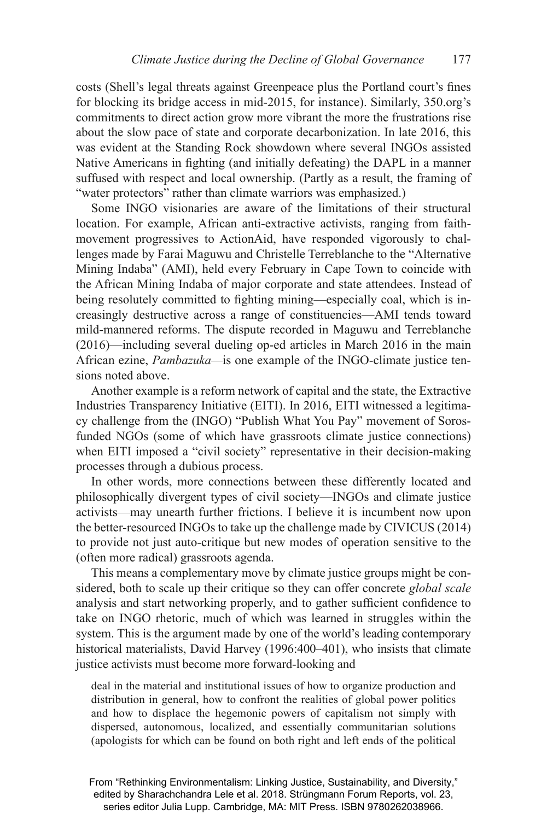costs (Shell's legal threats against Greenpeace plus the Portland court's fines for blocking its bridge access in mid-2015, for instance). Similarly, 350.org's commitments to direct action grow more vibrant the more the frustrations rise about the slow pace of state and corporate decarbonization. In late 2016, this was evident at the Standing Rock showdown where several INGOs assisted Native Americans in fighting (and initially defeating) the DAPL in a manner suffused with respect and local ownership. (Partly as a result, the framing of "water protectors" rather than climate warriors was emphasized.)

Some INGO visionaries are aware of the limitations of their structural location. For example, African anti-extractive activists, ranging from faithmovement progressives to ActionAid, have responded vigorously to challenges made by Farai Maguwu and Christelle Terreblanche to the "Alternative Mining Indaba" (AMI), held every February in Cape Town to coincide with the African Mining Indaba of major corporate and state attendees. Instead of being resolutely committed to fighting mining—especially coal, which is increasingly destructive across a range of constituencies—AMI tends toward mild-mannered reforms. The dispute recorded in Maguwu and Terreblanche (2016)—including several dueling op-ed articles in March 2016 in the main African ezine, *Pambazuka—*is one example of the INGO-climate justice tensions noted above.

Another example is a reform network of capital and the state, the Extractive Industries Transparency Initiative (EITI). In 2016, EITI witnessed a legitimacy challenge from the (INGO) "Publish What You Pay" movement of Sorosfunded NGOs (some of which have grassroots climate justice connections) when EITI imposed a "civil society" representative in their decision-making processes through a dubious process.

In other words, more connections between these differently located and philosophically divergent types of civil society—INGOs and climate justice activists—may unearth further frictions. I believe it is incumbent now upon the better-resourced INGOs to take up the challenge made by CIVICUS (2014) to provide not just auto-critique but new modes of operation sensitive to the (often more radical) grassroots agenda.

This means a complementary move by climate justice groups might be considered, both to scale up their critique so they can offer concrete *global scale*  analysis and start networking properly, and to gather sufficient confidence to take on INGO rhetoric, much of which was learned in struggles within the system. This is the argument made by one of the world's leading contemporary historical materialists, David Harvey (1996:400–401), who insists that climate justice activists must become more forward-looking and

deal in the material and institutional issues of how to organize production and distribution in general, how to confront the realities of global power politics and how to displace the hegemonic powers of capitalism not simply with dispersed, autonomous, localized, and essentially communitarian solutions (apologists for which can be found on both right and left ends of the political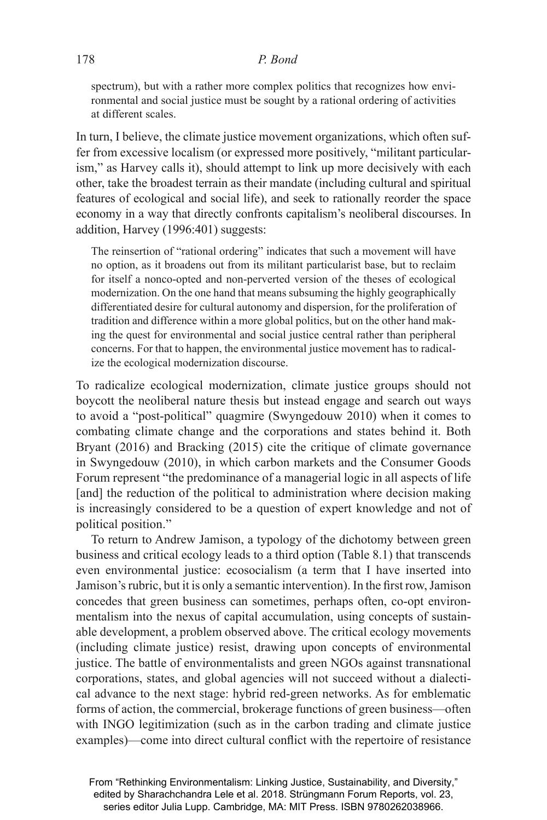#### 178 *P. Bond*

spectrum), but with a rather more complex politics that recognizes how environmental and social justice must be sought by a rational ordering of activities at different scales.

In turn, I believe, the climate justice movement organizations, which often suffer from excessive localism (or expressed more positively, "militant particularism," as Harvey calls it), should attempt to link up more decisively with each other, take the broadest terrain as their mandate (including cultural and spiritual features of ecological and social life), and seek to rationally reorder the space economy in a way that directly confronts capitalism's neoliberal discourses. In addition, Harvey (1996:401) suggests:

The reinsertion of "rational ordering" indicates that such a movement will have no option, as it broadens out from its militant particularist base, but to reclaim for itself a nonco-opted and non-perverted version of the theses of ecological modernization. On the one hand that means subsuming the highly geographically differentiated desire for cultural autonomy and dispersion, for the proliferation of tradition and difference within a more global politics, but on the other hand making the quest for environmental and social justice central rather than peripheral concerns. For that to happen, the environmental justice movement has to radicalize the ecological modernization discourse.

To radicalize ecological modernization, climate justice groups should not boycott the neoliberal nature thesis but instead engage and search out ways to avoid a "post-political" quagmire (Swyngedouw 2010) when it comes to combating climate change and the corporations and states behind it. Both Bryant (2016) and Bracking (2015) cite the critique of climate governance in Swyngedouw (2010), in which carbon markets and the Consumer Goods Forum represent "the predominance of a managerial logic in all aspects of life [and] the reduction of the political to administration where decision making is increasingly considered to be a question of expert knowledge and not of political position."

To return to Andrew Jamison, a typology of the dichotomy between green business and critical ecology leads to a third option (Table 8.1) that transcends even environmental justice: ecosocialism (a term that I have inserted into Jamison's rubric, but it is only a semantic intervention). In the first row, Jamison concedes that green business can sometimes, perhaps often, co-opt environmentalism into the nexus of capital accumulation, using concepts of sustainable development, a problem observed above. The critical ecology movements (including climate justice) resist, drawing upon concepts of environmental justice. The battle of environmentalists and green NGOs against transnational corporations, states, and global agencies will not succeed without a dialectical advance to the next stage: hybrid red-green networks. As for emblematic forms of action, the commercial, brokerage functions of green business—often with INGO legitimization (such as in the carbon trading and climate justice examples)—come into direct cultural conflict with the repertoire of resistance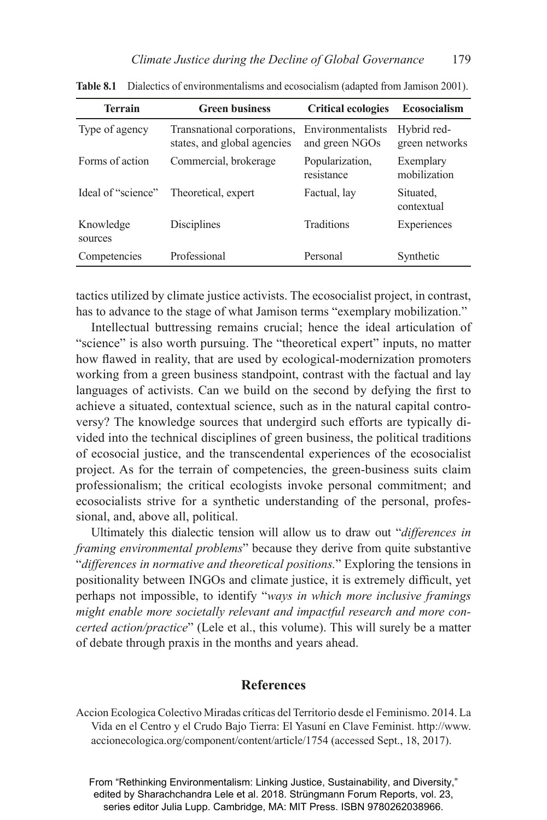| <b>Terrain</b>       | <b>Green business</b>                                      | <b>Critical ecologies</b>           | <b>Ecosocialism</b>           |
|----------------------|------------------------------------------------------------|-------------------------------------|-------------------------------|
| Type of agency       | Transnational corporations,<br>states, and global agencies | Environmentalists<br>and green NGOs | Hybrid red-<br>green networks |
| Forms of action      | Commercial, brokerage                                      | Popularization,<br>resistance       | Exemplary<br>mobilization     |
| Ideal of "science"   | Theoretical, expert                                        | Factual, lay                        | Situated.<br>contextual       |
| Knowledge<br>sources | Disciplines                                                | <b>Traditions</b>                   | Experiences                   |
| Competencies         | Professional                                               | Personal                            | Synthetic                     |

**Table 8.1** Dialectics of environmentalisms and ecosocialism (adapted from Jamison 2001).

tactics utilized by climate justice activists. The ecosocialist project, in contrast, has to advance to the stage of what Jamison terms "exemplary mobilization."

Intellectual buttressing remains crucial; hence the ideal articulation of "science" is also worth pursuing. The "theoretical expert" inputs, no matter how flawed in reality, that are used by ecological-modernization promoters working from a green business standpoint, contrast with the factual and lay languages of activists. Can we build on the second by defying the first to achieve a situated, contextual science, such as in the natural capital controversy? The knowledge sources that undergird such efforts are typically divided into the technical disciplines of green business, the political traditions of ecosocial justice, and the transcendental experiences of the eco socialist project. As for the terrain of competencies, the green-business suits claim professionalism; the critical ecologists invoke personal commitment; and ecosocialists strive for a synthetic understanding of the personal, professional, and, above all, political.

Ultimately this dialectic tension will allow us to draw out "*differences in framing environmental problems*" because they derive from quite substantive "*differences in normative and theoretical positions.*" Exploring the tensions in positionality between INGOs and climate justice, it is extremely difficult, yet perhaps not impossible, to identify "*ways in which more inclusive framings might enable more societally relevant and impactful research and more concerted action/practice*" (Lele et al., this volume). This will surely be a matter of debate through praxis in the months and years ahead.

# **References**

Accion Ecologica Colectivo Miradas críticas del Territorio desde el Feminismo. 2014. La Vida en el Centro y el Crudo Bajo Tierra: El Yasuní en Clave Feminist. http://www. accionecologica.org/component/content/article/1754 (accessed Sept., 18, 2017).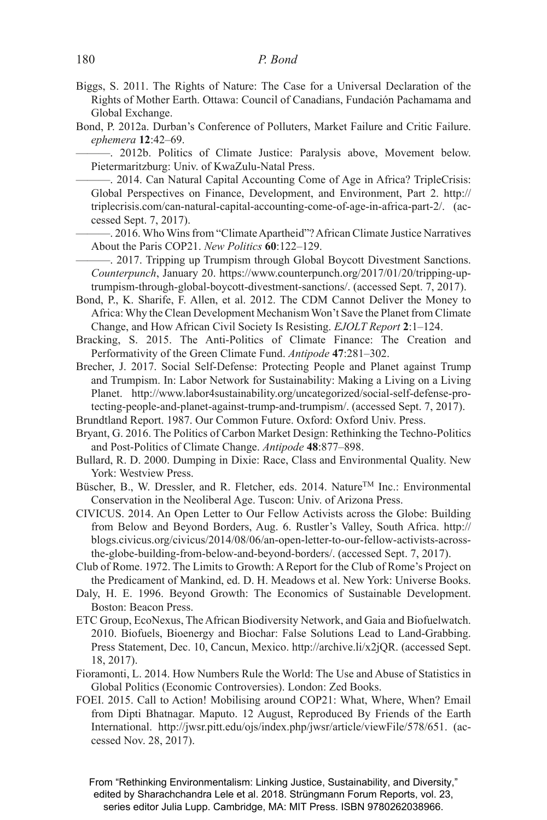- Biggs, S. 2011. The Rights of Nature: The Case for a Universal Declaration of the Rights of Mother Earth. Ottawa: Council of Canadians, Fundación Pachamama and Global Exchange.
- Bond, P. 2012a. Durban's Conference of Polluters, Market Failure and Critic Failure. *ephemera* **12**:42–69.

-. 2012b. Politics of Climate Justice: Paralysis above, Movement below. Pietermaritzburg: Univ. of KwaZulu-Natal Press.

-. 2014. Can Natural Capital Accounting Come of Age in Africa? TripleCrisis: Global Perspectives on Finance, Development, and Environment, Part 2. http:// triplecrisis.com/can-natural-capital-accounting-come-of-age-in-africa-part-2/. (accessed Sept. 7, 2017).

———. 2016. Who Wins from "Climate Apartheid"? African Climate Justice Narratives About the Paris COP21. *New Politics* **60**:122–129.

-. 2017. Tripping up Trumpism through Global Boycott Divestment Sanctions. *Counterpunch*, January 20. https://www.counterpunch.org/2017/01/20/tripping-uptrumpism-through-global-boycott-divestment-sanctions/. (accessed Sept. 7, 2017).

- Bond, P., K. Sharife, F. Allen, et al. 2012. The CDM Cannot Deliver the Money to Africa: Why the Clean Development Mechanism Won't Save the Planet from Climate Change, and How African Civil Society Is Resisting. *EJOLT Report* **2**:1–124.
- Bracking, S. 2015. The Anti-Politics of Climate Finance: The Creation and Performativity of the Green Climate Fund. *Antipode* **47**:281–302.
- Brecher, J. 2017. Social Self-Defense: Protecting People and Planet against Trump and Trumpism. In: Labor Network for Sustainability: Making a Living on a Living Planet. http://www.labor4sustainability.org/uncategorized/social-self-defense-protecting-people-and-planet-against-trump-and-trumpism/. (accessed Sept. 7, 2017).
- Brundtland Report. 1987. Our Common Future. Oxford: Oxford Univ. Press.
- Bryant, G. 2016. The Politics of Carbon Market Design: Rethinking the Techno-Politics and Post-Politics of Climate Change. *Antipode* **48**:877–898.
- Bullard, R. D. 2000. Dumping in Dixie: Race, Class and Environmental Quality. New York: Westview Press.
- Büscher, B., W. Dressler, and R. Fletcher, eds. 2014. Nature™ Inc.: Environmental Conservation in the Neoliberal Age. Tuscon: Univ. of Arizona Press.
- CIVICUS. 2014. An Open Letter to Our Fellow Activists across the Globe: Building from Below and Beyond Borders, Aug. 6. Rustler's Valley, South Africa. http:// blogs.civicus.org/civicus/2014/08/06/an-open-letter-to-our-fellow-activists-acrossthe-globe-building-from-below-and-beyond-borders/. (accessed Sept. 7, 2017).
- Club of Rome. 1972. The Limits to Growth: A Report for the Club of Rome's Project on the Predicament of Mankind, ed. D. H. Meadows et al. New York: Universe Books.
- Daly, H. E. 1996. Beyond Growth: The Economics of Sustainable Development. Boston: Beacon Press.
- ETC Group, EcoNexus, The African Biodiversity Network, and Gaia and Biofuelwatch. 2010. Biofuels, Bioenergy and Biochar: False Solutions Lead to Land-Grabbing. Press Statement, Dec. 10, Cancun, Mexico. http://archive.li/x2jQR. (accessed Sept. 18, 2017).
- Fioramonti, L. 2014. How Numbers Rule the World: The Use and Abuse of Statistics in Global Politics (Economic Controversies). London: Zed Books.
- FOEI. 2015. Call to Action! Mobilising around COP21: What, Where, When? Email from Dipti Bhatnagar. Maputo. 12 August, Reproduced By Friends of the Earth International. http://jwsr.pitt.edu/ojs/index.php/jwsr/article/viewFile/578/651. (accessed Nov. 28, 2017).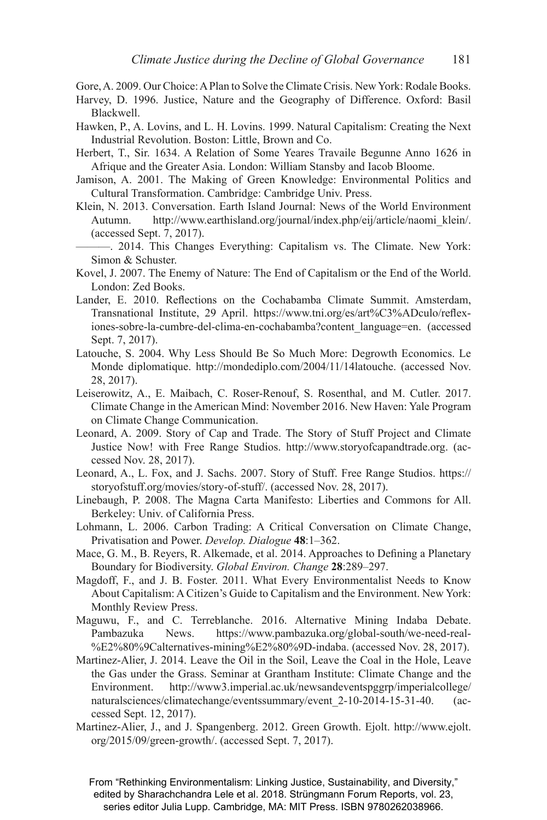Gore, A. 2009. Our Choice: A Plan to Solve the Climate Crisis. New York: Rodale Books.

- Harvey, D. 1996. Justice, Nature and the Geography of Difference. Oxford: Basil Blackwell.
- Hawken, P., A. Lovins, and L. H. Lovins. 1999. Natural Capitalism: Creating the Next Industrial Revolution. Boston: Little, Brown and Co.
- Herbert, T., Sir. 1634. A Relation of Some Yeares Travaile Begunne Anno 1626 in Afrique and the Greater Asia. London: William Stansby and Iacob Bloome.
- Jamison, A. 2001. The Making of Green Knowledge: Environmental Politics and Cultural Transformation. Cambridge: Cambridge Univ. Press.
- Klein, N. 2013. Conversation. Earth Island Journal: News of the World Environment Autumn. http://www.earthisland.org/journal/index.php/eij/article/naomi\_klein/. (accessed Sept. 7, 2017).
- ———. 2014. This Changes Everything: Capitalism vs. The Climate. New York: Simon & Schuster.
- Kovel, J. 2007. The Enemy of Nature: The End of Capitalism or the End of the World. London: Zed Books.
- Lander, E. 2010. Reflections on the Cochabamba Climate Summit. Amsterdam, Transnational Institute, 29 April. https://www.tni.org/es/art%C3%ADculo/reflexiones-sobre-la-cumbre-del-clima-en-cochabamba?content\_language=en. (accessed Sept. 7, 2017).
- Latouche, S. 2004. Why Less Should Be So Much More: Degrowth Economics. Le Monde diplomatique. http://mondediplo.com/2004/11/14latouche. (accessed Nov. 28, 2017).
- Leiserowitz, A., E. Maibach, C. Roser-Renouf, S. Rosenthal, and M. Cutler. 2017. Climate Change in the American Mind: November 2016. New Haven: Yale Program on Climate Change Communication.
- Leonard, A. 2009. Story of Cap and Trade. The Story of Stuff Project and Climate Justice Now! with Free Range Studios. http://www.storyofcapandtrade.org. (accessed Nov. 28, 2017).
- Leonard, A., L. Fox, and J. Sachs. 2007. Story of Stuff. Free Range Studios. https:// storyofstuff.org/movies/story-of-stuff/. (accessed Nov. 28, 2017).
- Linebaugh, P. 2008. The Magna Carta Manifesto: Liberties and Commons for All. Berkeley: Univ. of California Press.
- Lohmann, L. 2006. Carbon Trading: A Critical Conversation on Climate Change, Privatisation and Power. *Develop. Dialogue* **48**:1–362.
- Mace, G. M., B. Reyers, R. Alkemade, et al. 2014. Approaches to Defining a Planetary Boundary for Biodiversity. *Global Environ. Change* **28**:289–297.
- Magdoff, F., and J. B. Foster. 2011. What Every Environmentalist Needs to Know About Capitalism: A Citizen's Guide to Capitalism and the Environment. New York: Monthly Review Press.
- Maguwu, F., and C. Terreblanche. 2016. Alternative Mining Indaba Debate. Pambazuka News. https://www.pambazuka.org/global-south/we-need-real- %E2%80%9Calternatives-mining%E2%80%9D-indaba. (accessed Nov. 28, 2017).
- Martinez-Alier, J. 2014. Leave the Oil in the Soil, Leave the Coal in the Hole, Leave the Gas under the Grass. Seminar at Grantham Institute: Climate Change and the Environment. http://www3.imperial.ac.uk/newsandeventspggrp/imperialcollege/ naturalsciences/climatechange/eventssummary/event 2-10-2014-15-31-40. (accessed Sept. 12, 2017).
- Martinez-Alier, J., and J. Spangenberg. 2012. Green Growth. Ejolt. http://www.ejolt. org/2015/09/green-growth/. (accessed Sept. 7, 2017).